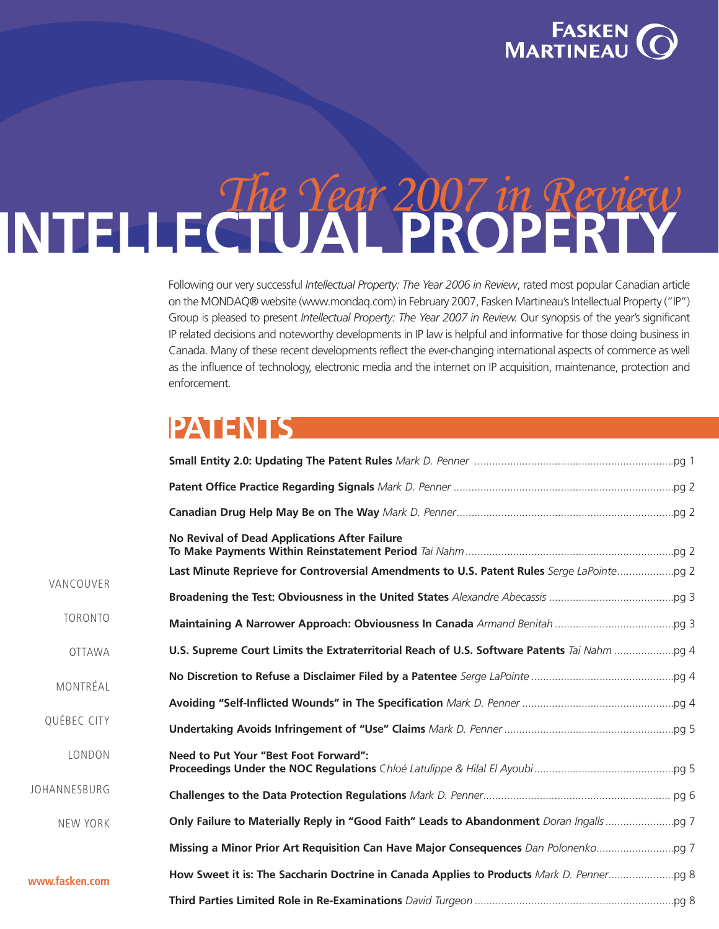

### <span id="page-0-0"></span>The Year 2007 in Review **INTELLECTUAL PROPERTY**

Following our very successful *Intellectual Property: The Year 2006 in Review*, rated most popular Canadian article on the MONDAQ® website (www.mondaq.com) in February 2007, Fasken Martineau's Intellectual Property ("IP") Group is pleased to present *Intellectual Property: The Year 2007 in Review.* Our synopsis of the year's significant IP related decisions and noteworthy developments in IP law is helpful and informative for those doing business in Canada. Many of these recent developments reflect the ever-changing international aspects of commerce as well as the influence of technology, electronic media and the internet on IP acquisition, maintenance, protection and enforcement.

### **[PATENTS](#page-2-0)**

www.f

|                | <b>No Revival of Dead Applications After Failure</b>                                       |  |
|----------------|--------------------------------------------------------------------------------------------|--|
| VANCOUVER      | Last Minute Reprieve for Controversial Amendments to U.S. Patent Rules Serge LaPointe pg 2 |  |
|                |                                                                                            |  |
| TORONTO        |                                                                                            |  |
| <b>OTTAWA</b>  |                                                                                            |  |
| MONTRÉAL       |                                                                                            |  |
|                |                                                                                            |  |
| QUÉBEC CITY    |                                                                                            |  |
| LONDON         | Need to Put Your "Best Foot Forward":                                                      |  |
| JOHANNESBURG   |                                                                                            |  |
| NEW YORK       |                                                                                            |  |
|                |                                                                                            |  |
| www.fasken.com |                                                                                            |  |
|                |                                                                                            |  |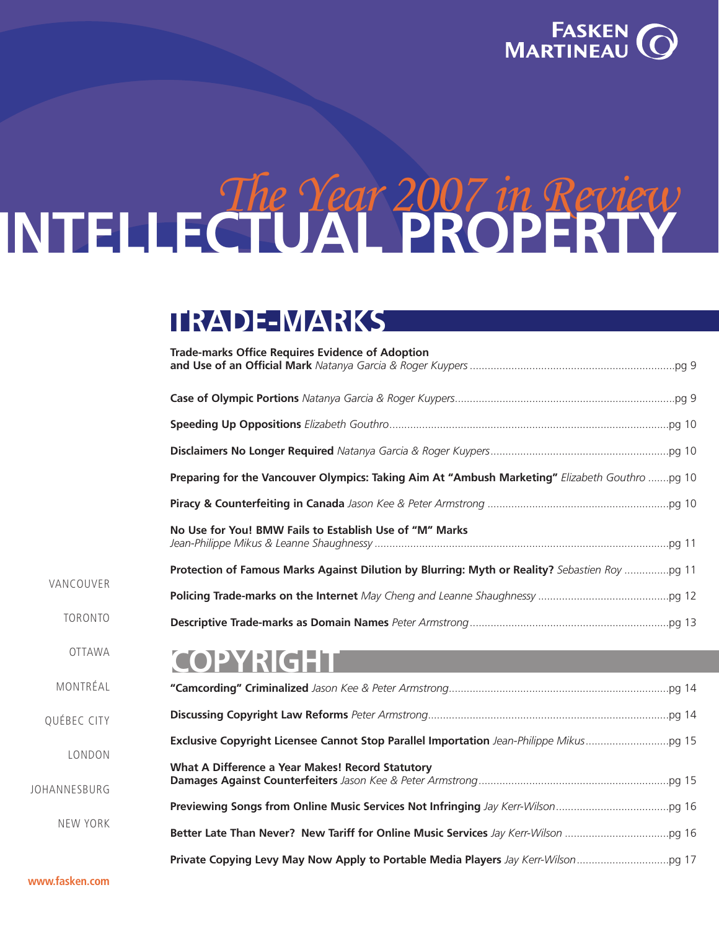

# <span id="page-1-0"></span>The Year <sup>2007</sup> in Review **INTELLECTUAL PROPERTY**

### **[TRADE-MARKS](#page-10-0)**

|                        | <b>Trade-marks Office Requires Evidence of Adoption</b>                                        |
|------------------------|------------------------------------------------------------------------------------------------|
|                        |                                                                                                |
|                        |                                                                                                |
|                        |                                                                                                |
|                        | Preparing for the Vancouver Olympics: Taking Aim At "Ambush Marketing" Elizabeth Gouthro pq 10 |
|                        |                                                                                                |
|                        | No Use for You! BMW Fails to Establish Use of "M" Marks                                        |
| VANCOUVER              | Protection of Famous Marks Against Dilution by Blurring: Myth or Reality? Sebastien Roy  pg 11 |
|                        |                                                                                                |
| <b>TORONTO</b>         |                                                                                                |
| <b>OTTAWA</b>          | <b>COPYRIGHT</b>                                                                               |
| MONTRÉAL               |                                                                                                |
| QUÉBEC CITY            |                                                                                                |
|                        |                                                                                                |
| LONDON<br>JOHANNESBURG | What A Difference a Year Makes! Record Statutory                                               |
|                        |                                                                                                |
| NEW YORK               |                                                                                                |
|                        |                                                                                                |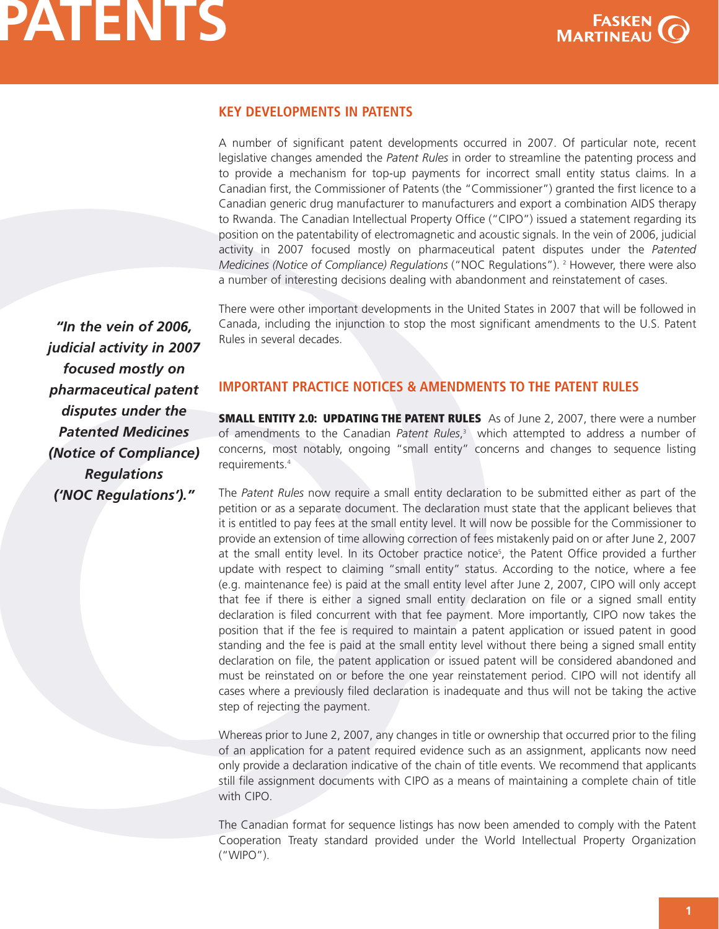

### <span id="page-2-0"></span>**KEY DEVELOPMENTS IN PATENTS**

A number of significant patent developments occurred in 2007. Of particular note, recent legislative changes amended the *Patent Rules* in order to streamline the patenting process and to provide a mechanism for top-up payments for incorrect small entity status claims. In a Canadian first, the Commissioner of Patents (the "Commissioner") granted the first licence to a Canadian generic drug manufacturer to manufacturers and export a combination AIDS therapy to Rwanda. The Canadian Intellectual Property Office ("CIPO") issued a statement regarding its position on the patentability of electromagnetic and acoustic signals. In the vein of 2006, judicial activity in 2007 focused mostly on pharmaceutical patent disputes under the *Patented Medicines (Notice of Compliance) Regulations* ("NOC Regulations"). <sup>2</sup> However, there were also a number of interesting decisions dealing with abandonment and reinstatement of cases.

There were other important developments in the United States in 2007 that will be followed in Canada, including the injunction to stop the most significant amendments to the U.S. Patent Rules in several decades.

*"In the vein of 2006, judicial activity in 2007 focused mostly on pharmaceutical patent disputes under the Patented Medicines (Notice of Compliance) Regulations ('NOC Regulations')."*

#### **IMPORTANT PRACTICE NOTICES & AMENDMENTS TO THE PATENT RULES**

**SMALL ENTITY 2.0: UPDATING THE PATENT RULES** As of June 2, 2007, there were a number of amendments to the Canadian *Patent Rules*, <sup>3</sup> which attempted to address a number of concerns, most notably, ongoing "small entity" concerns and changes to sequence listing requirements. 4

The *Patent Rules* now require a small entity declaration to be submitted either as part of the petition or as a separate document. The declaration must state that the applicant believes that it is entitled to pay fees at the small entity level. It will now be possible for the Commissioner to provide an extension of time allowing correction of fees mistakenly paid on or after June 2, 2007 at the small entity level. In its October practice notice<sup>5</sup>, the Patent Office provided a further update with respect to claiming "small entity" status. According to the notice, where a fee (e.g. maintenance fee) is paid at the small entity level after June 2, 2007, CIPO will only accept that fee if there is either a signed small entity declaration on file or a signed small entity declaration is filed concurrent with that fee payment. More importantly, CIPO now takes the position that if the fee is required to maintain a patent application or issued patent in good standing and the fee is paid at the small entity level without there being a signed small entity declaration on file, the patent application or issued patent will be considered abandoned and must be reinstated on or before the one year reinstatement period. CIPO will not identify all cases where a previously filed declaration is inadequate and thus will not be taking the active step of rejecting the payment.

Whereas prior to June 2, 2007, any changes in title or ownership that occurred prior to the filing of an application for a patent required evidence such as an assignment, applicants now need only provide a declaration indicative of the chain of title events. We recommend that applicants still file assignment documents with CIPO as a means of maintaining a complete chain of title with CIPO.

The Canadian format for sequence listings has now been amended to comply with the Patent Cooperation Treaty standard provided under the World Intellectual Property Organization ("WIPO").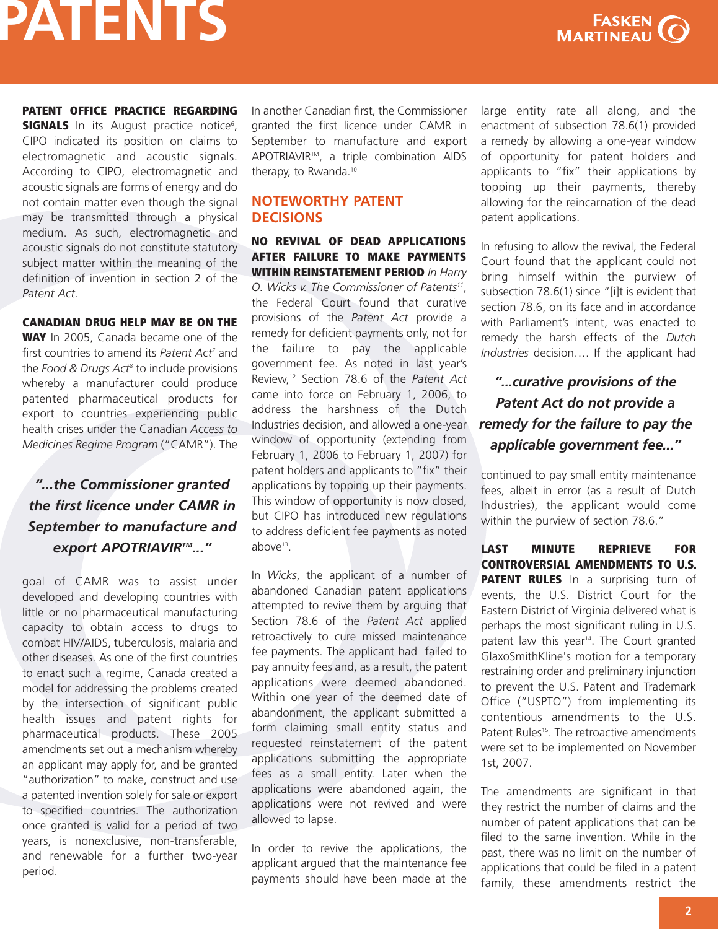

**PATENT OFFICE PRACTICE REGARDING SIGNALS** In its August practice notice<sup>6</sup>, CIPO indicated its position on claims to electromagnetic and acoustic signals. According to CIPO, electromagnetic and acoustic signals are forms of energy and do not contain matter even though the signal may be transmitted through a physical medium. As such, electromagnetic and acoustic signals do not constitute statutory subject matter within the meaning of the definition of invention in section 2 of the *Patent Act*.

#### **CANADIAN DRUG HELP MAY BE ON THE**

**WAY** In 2005, Canada became one of the first countries to amend its *Patent Act<sup>7</sup>* and the *Food & Drugs Act8* to include provisions whereby a manufacturer could produce patented pharmaceutical products for export to countries experiencing public health crises under the Canadian *Access to Medicines Regime Program* ("CAMR"). The

### *"...the Commissioner granted the first licence under CAMR in September to manufacture and export APOTRIAVIRTM..."*

goal of CAMR was to assist under developed and developing countries with little or no pharmaceutical manufacturing capacity to obtain access to drugs to combat HIV/AIDS, tuberculosis, malaria and other diseases. As one of the first countries to enact such a regime, Canada created a model for addressing the problems created by the intersection of significant public health issues and patent rights for pharmaceutical products. These 2005 amendments set out a mechanism whereby an applicant may apply for, and be granted "authorization" to make, construct and use a patented invention solely for sale or export to specified countries. The authorization once granted is valid for a period of two years, is nonexclusive, non-transferable, and renewable for a further two-year period.

In another Canadian first, the Commissioner granted the first licence under CAMR in September to manufacture and export APOTRIAVIRTM, a triple combination AIDS therapy, to Rwanda.<sup>10</sup>

### **NOTEWORTHY PATENT DECISIONS**

**NO REVIVAL OF DEAD APPLICATIONS AFTER FAILURE TO MAKE PAYMENTS WITHIN REINSTATEMENT PERIOD** *In Harry O. Wicks v. The Commissioner of Patents11*, the Federal Court found that curative provisions of the *Patent Act* provide a remedy for deficient payments only, not for the failure to pay the applicable government fee. As noted in last year's Review,12 Section 78.6 of the *Patent Act* came into force on February 1, 2006, to address the harshness of the Dutch Industries decision, and allowed a one-year window of opportunity (extending from February 1, 2006 to February 1, 2007) for patent holders and applicants to "fix" their applications by topping up their payments. This window of opportunity is now closed, but CIPO has introduced new regulations to address deficient fee payments as noted above<sup>13</sup>.

In *Wicks*, the applicant of a number of abandoned Canadian patent applications attempted to revive them by arguing that Section 78.6 of the *Patent Act* applied retroactively to cure missed maintenance fee payments. The applicant had failed to pay annuity fees and, as a result, the patent applications were deemed abandoned. Within one year of the deemed date of abandonment, the applicant submitted a form claiming small entity status and requested reinstatement of the patent applications submitting the appropriate fees as a small entity. Later when the applications were abandoned again, the applications were not revived and were allowed to lapse.

In order to revive the applications, the applicant argued that the maintenance fee payments should have been made at the large entity rate all along, and the enactment of subsection 78.6(1) provided a remedy by allowing a one-year window of opportunity for patent holders and applicants to "fix" their applications by topping up their payments, thereby allowing for the reincarnation of the dead patent applications.

In refusing to allow the revival, the Federal Court found that the applicant could not bring himself within the purview of subsection 78.6(1) since "[i]t is evident that section 78.6, on its face and in accordance with Parliament's intent, was enacted to remedy the harsh effects of the *Dutch Industries* decision…. If the applicant had

### *"...curative provisions of the Patent Act do not provide a remedy for the failure to pay the applicable government fee..."*

continued to pay small entity maintenance fees, albeit in error (as a result of Dutch Industries), the applicant would come within the purview of section 78.6."

**LAST MINUTE REPRIEVE FOR CONTROVERSIAL AMENDMENTS TO U.S. PATENT RULES** In a surprising turn of events, the U.S. District Court for the Eastern District of Virginia delivered what is perhaps the most significant ruling in U.S. patent law this year<sup>14</sup>. The Court granted GlaxoSmithKline's motion for a temporary restraining order and preliminary injunction to prevent the U.S. Patent and Trademark Office ("USPTO") from implementing its contentious amendments to the U.S. Patent Rules<sup>15</sup>. The retroactive amendments were set to be implemented on November 1st, 2007.

The amendments are significant in that they restrict the number of claims and the number of patent applications that can be filed to the same invention. While in the past, there was no limit on the number of applications that could be filed in a patent family, these amendments restrict the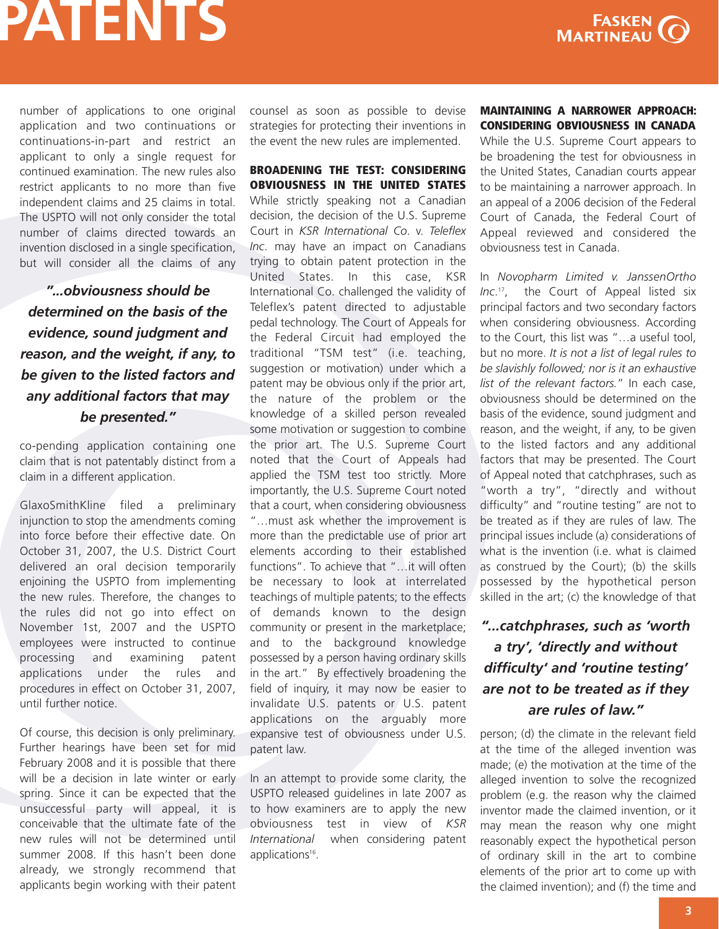number of applications to one original application and two continuations or continuations-in-part and restrict an applicant to only a single request for continued examination. The new rules also restrict applicants to no more than five independent claims and 25 claims in total. The USPTO will not only consider the total number of claims directed towards an invention disclosed in a single specification, but will consider all the claims of any

*"...obviousness should be determined on the basis of the evidence, sound judgment and reason, and the weight, if any, to be given to the listed factors and any additional factors that may be presented."*

co-pending application containing one claim that is not patentably distinct from a claim in a different application.

GlaxoSmithKline filed a preliminary injunction to stop the amendments coming into force before their effective date. On October 31, 2007, the U.S. District Court delivered an oral decision temporarily enjoining the USPTO from implementing the new rules. Therefore, the changes to the rules did not go into effect on November 1st, 2007 and the USPTO employees were instructed to continue processing and examining patent applications under the rules and procedures in effect on October 31, 2007, until further notice.

Of course, this decision is only preliminary. Further hearings have been set for mid February 2008 and it is possible that there will be a decision in late winter or early spring. Since it can be expected that the unsuccessful party will appeal, it is conceivable that the ultimate fate of the new rules will not be determined until summer 2008. If this hasn't been done already, we strongly recommend that applicants begin working with their patent

counsel as soon as possible to devise strategies for protecting their inventions in the event the new rules are implemented.

**BROADENING THE TEST: CONSIDERING OBVIOUSNESS IN THE UNITED STATES** While strictly speaking not a Canadian decision, the decision of the U.S. Supreme Court in *KSR International Co*. v. *Teleflex Inc*. may have an impact on Canadians trying to obtain patent protection in the United States. In this case, KSR International Co. challenged the validity of Teleflex's patent directed to adjustable pedal technology. The Court of Appeals for the Federal Circuit had employed the traditional "TSM test" (i.e. teaching, suggestion or motivation) under which a patent may be obvious only if the prior art, the nature of the problem or the knowledge of a skilled person revealed some motivation or suggestion to combine the prior art. The U.S. Supreme Court noted that the Court of Appeals had applied the TSM test too strictly. More importantly, the U.S. Supreme Court noted that a court, when considering obviousness "…must ask whether the improvement is more than the predictable use of prior art elements according to their established functions". To achieve that "…it will often be necessary to look at interrelated teachings of multiple patents; to the effects of demands known to the design community or present in the marketplace; and to the background knowledge possessed by a person having ordinary skills in the art." By effectively broadening the field of inquiry, it may now be easier to invalidate U.S. patents or U.S. patent applications on the arguably more expansive test of obviousness under U.S. patent law.

In an attempt to provide some clarity, the USPTO released guidelines in late 2007 as to how examiners are to apply the new obviousness test in view of *KSR International* when considering patent applications<sup>16</sup>.

**MAINTAINING A NARROWER APPROACH: CONSIDERING OBVIOUSNESS IN CANADA** While the U.S. Supreme Court appears to be broadening the test for obviousness in the United States, Canadian courts appear to be maintaining a narrower approach. In an appeal of a 2006 decision of the Federal Court of Canada, the Federal Court of Appeal reviewed and considered the obviousness test in Canada.

In *Novopharm Limited v. JanssenOrtho Inc*. 17 , the Court of Appeal listed six principal factors and two secondary factors when considering obviousness. According to the Court, this list was "…a useful tool, but no more. *It is not a list of legal rules to be slavishly followed; nor is it an exhaustive list of the relevant factors.*" In each case, obviousness should be determined on the basis of the evidence, sound judgment and reason, and the weight, if any, to be given to the listed factors and any additional factors that may be presented. The Court of Appeal noted that catchphrases, such as "worth a try", "directly and without difficulty" and "routine testing" are not to be treated as if they are rules of law. The principal issues include (a) considerations of what is the invention (i.e. what is claimed as construed by the Court); (b) the skills possessed by the hypothetical person skilled in the art; (c) the knowledge of that

### *"...catchphrases, such as 'worth a try', 'directly and without difficulty' and 'routine testing' are not to be treated as if they are rules of law."*

person; (d) the climate in the relevant field at the time of the alleged invention was made; (e) the motivation at the time of the alleged invention to solve the recognized problem (e.g. the reason why the claimed inventor made the claimed invention, or it may mean the reason why one might reasonably expect the hypothetical person of ordinary skill in the art to combine elements of the prior art to come up with the claimed invention); and (f) the time and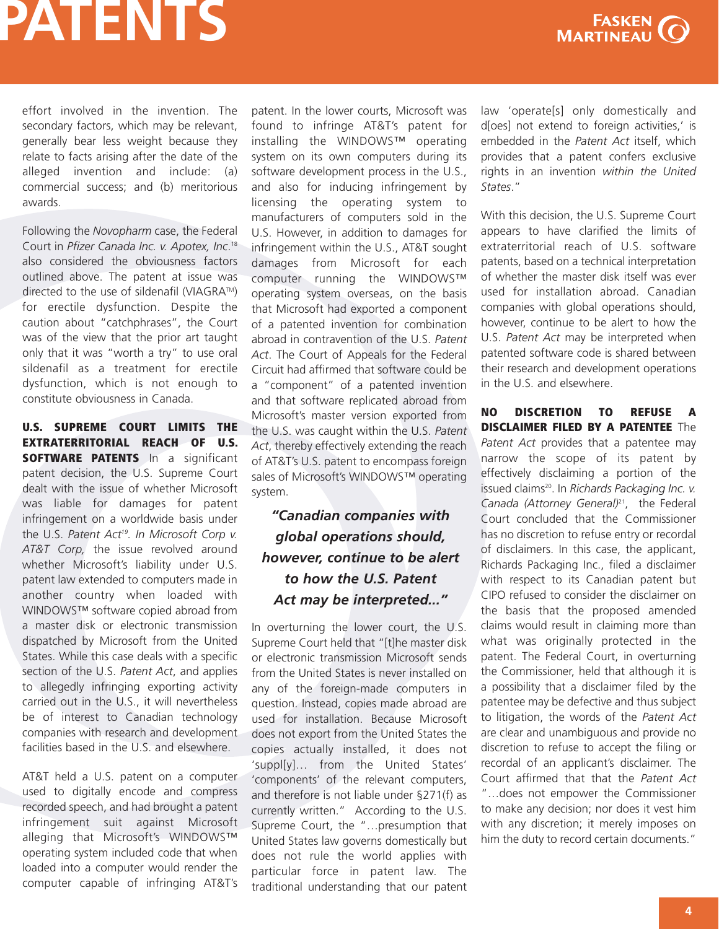

effort involved in the invention. The secondary factors, which may be relevant, generally bear less weight because they relate to facts arising after the date of the alleged invention and include: (a) commercial success; and (b) meritorious awards.

Following the *Novopharm* case, the Federal Court in *Pfizer Canada Inc. v. Apotex, Inc*. 18 also considered the obviousness factors outlined above. The patent at issue was directed to the use of sildenafil (VIAGRA™) for erectile dysfunction. Despite the caution about "catchphrases", the Court was of the view that the prior art taught only that it was "worth a try" to use oral sildenafil as a treatment for erectile dysfunction, which is not enough to constitute obviousness in Canada.

**U.S. SUPREME COURT LIMITS THE EXTRATERRITORIAL REACH OF U.S. SOFTWARE PATENTS** In a significant patent decision, the U.S. Supreme Court dealt with the issue of whether Microsoft was liable for damages for patent infringement on a worldwide basis under the U.S. *Patent Act19. In Microsoft Corp v. AT&T Corp,* the issue revolved around whether Microsoft's liability under U.S. patent law extended to computers made in another country when loaded with WINDOWS™ software copied abroad from a master disk or electronic transmission dispatched by Microsoft from the United States. While this case deals with a specific section of the U.S. *Patent Act*, and applies to allegedly infringing exporting activity carried out in the U.S., it will nevertheless be of interest to Canadian technology companies with research and development facilities based in the U.S. and elsewhere.

AT&T held a U.S. patent on a computer used to digitally encode and compress recorded speech, and had brought a patent infringement suit against Microsoft alleging that Microsoft's WINDOWS™ operating system included code that when loaded into a computer would render the computer capable of infringing AT&T's

patent. In the lower courts, Microsoft was found to infringe AT&T's patent for installing the WINDOWS™ operating system on its own computers during its software development process in the U.S., and also for inducing infringement by licensing the operating system to manufacturers of computers sold in the U.S. However, in addition to damages for infringement within the U.S., AT&T sought damages from Microsoft for each computer running the WINDOWS™ operating system overseas, on the basis that Microsoft had exported a component of a patented invention for combination abroad in contravention of the U.S. *Patent Act*. The Court of Appeals for the Federal Circuit had affirmed that software could be a "component" of a patented invention and that software replicated abroad from Microsoft's master version exported from the U.S. was caught within the U.S. *Patent Act*, thereby effectively extending the reach of AT&T's U.S. patent to encompass foreign sales of Microsoft's WINDOWS™ operating system.

### *"Canadian companies with global operations should, however, continue to be alert to how the U.S. Patent Act may be interpreted..."*

In overturning the lower court, the U.S. Supreme Court held that "[t]he master disk or electronic transmission Microsoft sends from the United States is never installed on any of the foreign-made computers in question. Instead, copies made abroad are used for installation. Because Microsoft does not export from the United States the copies actually installed, it does not 'suppl[y]… from the United States' 'components' of the relevant computers, and therefore is not liable under §271(f) as currently written." According to the U.S. Supreme Court, the "…presumption that United States law governs domestically but does not rule the world applies with particular force in patent law. The traditional understanding that our patent law 'operate[s] only domestically and d[oes] not extend to foreign activities,' is embedded in the *Patent Act* itself, which provides that a patent confers exclusive rights in an invention *within the United States*."

With this decision, the U.S. Supreme Court appears to have clarified the limits of extraterritorial reach of U.S. software patents, based on a technical interpretation of whether the master disk itself was ever used for installation abroad. Canadian companies with global operations should, however, continue to be alert to how the U.S. *Patent Act* may be interpreted when patented software code is shared between their research and development operations in the U.S. and elsewhere.

**NO DISCRETION TO REFUSE A DISCLAIMER FILED BY A PATENTEE** The *Patent Act* provides that a patentee may narrow the scope of its patent by effectively disclaiming a portion of the issued claims20 . In *Richards Packaging Inc. v. Canada (Attorney General)*21, the Federal Court concluded that the Commissioner has no discretion to refuse entry or recordal of disclaimers. In this case, the applicant, Richards Packaging Inc., filed a disclaimer with respect to its Canadian patent but CIPO refused to consider the disclaimer on the basis that the proposed amended claims would result in claiming more than what was originally protected in the patent. The Federal Court, in overturning the Commissioner, held that although it is a possibility that a disclaimer filed by the patentee may be defective and thus subject to litigation, the words of the *Patent Act* are clear and unambiguous and provide no discretion to refuse to accept the filing or recordal of an applicant's disclaimer. The Court affirmed that that the *Patent Act* "…does not empower the Commissioner to make any decision; nor does it vest him with any discretion; it merely imposes on him the duty to record certain documents."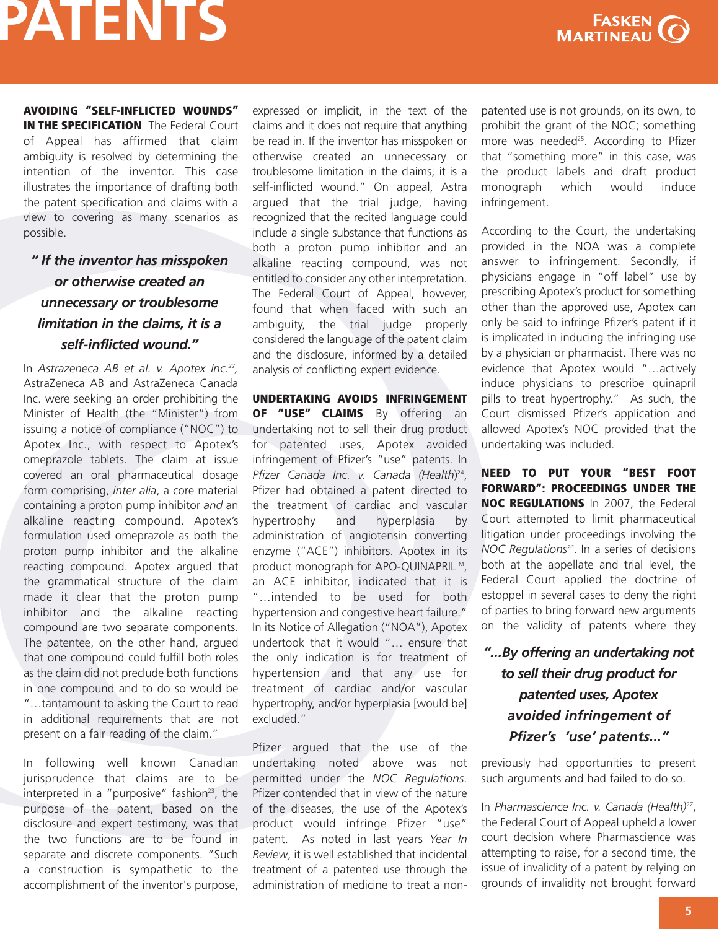

**AVOIDING "SELF-INFLICTED WOUNDS" IN THE SPECIFICATION** The Federal Court of Appeal has affirmed that claim ambiguity is resolved by determining the intention of the inventor. This case illustrates the importance of drafting both the patent specification and claims with a view to covering as many scenarios as possible.

### *" If the inventor has misspoken or otherwise created an unnecessary or troublesome limitation in the claims, it is a self-inflicted wound."*

In *Astrazeneca AB et al. v. Apotex Inc.22 ,* AstraZeneca AB and AstraZeneca Canada Inc. were seeking an order prohibiting the Minister of Health (the "Minister") from issuing a notice of compliance ("NOC") to Apotex Inc., with respect to Apotex's omeprazole tablets. The claim at issue covered an oral pharmaceutical dosage form comprising, *inter alia*, a core material containing a proton pump inhibitor *and* an alkaline reacting compound. Apotex's formulation used omeprazole as both the proton pump inhibitor and the alkaline reacting compound. Apotex argued that the grammatical structure of the claim made it clear that the proton pump inhibitor and the alkaline reacting compound are two separate components. The patentee, on the other hand, argued that one compound could fulfill both roles as the claim did not preclude both functions in one compound and to do so would be "…tantamount to asking the Court to read in additional requirements that are not present on a fair reading of the claim."

In following well known Canadian jurisprudence that claims are to be interpreted in a "purposive" fashion<sup>23</sup>, the purpose of the patent, based on the disclosure and expert testimony, was that the two functions are to be found in separate and discrete components. "Such a construction is sympathetic to the accomplishment of the inventor's purpose,

expressed or implicit, in the text of the claims and it does not require that anything be read in. If the inventor has misspoken or otherwise created an unnecessary or troublesome limitation in the claims, it is a self-inflicted wound." On appeal, Astra argued that the trial judge, having recognized that the recited language could include a single substance that functions as both a proton pump inhibitor and an alkaline reacting compound, was not entitled to consider any other interpretation. The Federal Court of Appeal, however, found that when faced with such an ambiguity, the trial judge properly considered the language of the patent claim and the disclosure, informed by a detailed analysis of conflicting expert evidence.

**UNDERTAKING AVOIDS INFRINGEMENT OF "USE" CLAIMS** By offering an undertaking not to sell their drug product for patented uses, Apotex avoided infringement of Pfizer's "use" patents. In *Pfizer Canada Inc. v. Canada (Health*) 24, Pfizer had obtained a patent directed to the treatment of cardiac and vascular hypertrophy and hyperplasia by administration of angiotensin converting enzyme ("ACE") inhibitors. Apotex in its product monograph for APO-QUINAPRIL™, an ACE inhibitor, indicated that it is "…intended to be used for both hypertension and congestive heart failure." In its Notice of Allegation ("NOA"), Apotex undertook that it would "… ensure that the only indication is for treatment of hypertension and that any use for treatment of cardiac and/or vascular hypertrophy, and/or hyperplasia [would be] excluded."

Pfizer argued that the use of the undertaking noted above was not permitted under the *NOC Regulations*. Pfizer contended that in view of the nature of the diseases, the use of the Apotex's product would infringe Pfizer "use" patent. As noted in last years *Year In Review*, it is well established that incidental treatment of a patented use through the administration of medicine to treat a non-

patented use is not grounds, on its own, to prohibit the grant of the NOC; something more was needed<sup>25</sup>. According to Pfizer that "something more" in this case, was the product labels and draft product monograph which would induce infringement.

According to the Court, the undertaking provided in the NOA was a complete answer to infringement. Secondly, if physicians engage in "off label" use by prescribing Apotex's product for something other than the approved use, Apotex can only be said to infringe Pfizer's patent if it is implicated in inducing the infringing use by a physician or pharmacist. There was no evidence that Apotex would "…actively induce physicians to prescribe quinapril pills to treat hypertrophy." As such, the Court dismissed Pfizer's application and allowed Apotex's NOC provided that the undertaking was included.

**NEED TO PUT YOUR "BEST FOOT FORWARD": PROCEEDINGS UNDER THE NOC REGULATIONS** In 2007, the Federal Court attempted to limit pharmaceutical litigation under proceedings involving the *NOC Regulations26* . In a series of decisions both at the appellate and trial level, the Federal Court applied the doctrine of estoppel in several cases to deny the right of parties to bring forward new arguments on the validity of patents where they

### *"...By offering an undertaking not to sell their drug product for patented uses, Apotex avoided infringement of Pfizer's 'use' patents..."*

previously had opportunities to present such arguments and had failed to do so.

In *Pharmascience Inc. v. Canada (Health)27*, the Federal Court of Appeal upheld a lower court decision where Pharmascience was attempting to raise, for a second time, the issue of invalidity of a patent by relying on grounds of invalidity not brought forward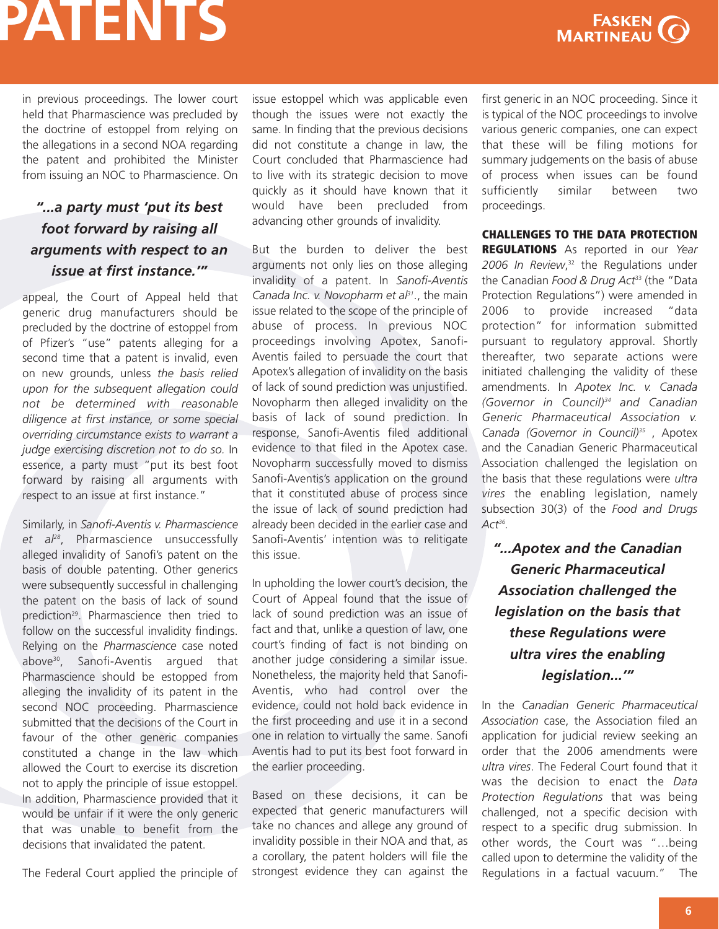

in previous proceedings. The lower court held that Pharmascience was precluded by the doctrine of estoppel from relying on the allegations in a second NOA regarding the patent and prohibited the Minister from issuing an NOC to Pharmascience. On

### *"...a party must 'put its best foot forward by raising all arguments with respect to an issue at first instance.'"*

appeal, the Court of Appeal held that generic drug manufacturers should be precluded by the doctrine of estoppel from of Pfizer's "use" patents alleging for a second time that a patent is invalid, even on new grounds, unless *the basis relied upon for the subsequent allegation could not be determined with reasonable diligence at first instance, or some special overriding circumstance exists to warrant a judge exercising discretion not to do so.* In essence, a party must "put its best foot forward by raising all arguments with respect to an issue at first instance."

Similarly, in *Sanofi-Aventis v. Pharmascience et al28*, Pharmascience unsuccessfully alleged invalidity of Sanofi's patent on the basis of double patenting. Other generics were subsequently successful in challenging the patent on the basis of lack of sound prediction<sup>29</sup>. Pharmascience then tried to follow on the successful invalidity findings. Relying on the *Pharmascience* case noted above30 , Sanofi-Aventis argued that Pharmascience should be estopped from alleging the invalidity of its patent in the second NOC proceeding. Pharmascience submitted that the decisions of the Court in favour of the other generic companies constituted a change in the law which allowed the Court to exercise its discretion not to apply the principle of issue estoppel. In addition, Pharmascience provided that it would be unfair if it were the only generic that was unable to benefit from the decisions that invalidated the patent.

The Federal Court applied the principle of

issue estoppel which was applicable even though the issues were not exactly the same. In finding that the previous decisions did not constitute a change in law, the Court concluded that Pharmascience had to live with its strategic decision to move quickly as it should have known that it would have been precluded from advancing other grounds of invalidity.

But the burden to deliver the best arguments not only lies on those alleging invalidity of a patent. In *Sanofi-Aventis Canada Inc. v. Novopharm et al31*., the main issue related to the scope of the principle of abuse of process. In previous NOC proceedings involving Apotex, Sanofi-Aventis failed to persuade the court that Apotex's allegation of invalidity on the basis of lack of sound prediction was unjustified. Novopharm then alleged invalidity on the basis of lack of sound prediction. In response, Sanofi-Aventis filed additional evidence to that filed in the Apotex case. Novopharm successfully moved to dismiss Sanofi-Aventis's application on the ground that it constituted abuse of process since the issue of lack of sound prediction had already been decided in the earlier case and Sanofi-Aventis' intention was to relitigate this issue.

In upholding the lower court's decision, the Court of Appeal found that the issue of lack of sound prediction was an issue of fact and that, unlike a question of law, one court's finding of fact is not binding on another judge considering a similar issue. Nonetheless, the majority held that Sanofi-Aventis, who had control over the evidence, could not hold back evidence in the first proceeding and use it in a second one in relation to virtually the same. Sanofi Aventis had to put its best foot forward in the earlier proceeding.

Based on these decisions, it can be expected that generic manufacturers will take no chances and allege any ground of invalidity possible in their NOA and that, as a corollary, the patent holders will file the strongest evidence they can against the first generic in an NOC proceeding. Since it is typical of the NOC proceedings to involve various generic companies, one can expect that these will be filing motions for summary judgements on the basis of abuse of process when issues can be found sufficiently similar between two proceedings.

**CHALLENGES TO THE DATA PROTECTION**

**REGULATIONS** As reported in our *Year 2006 In Review*, <sup>32</sup> the Regulations under the Canadian *Food & Drug Act*<sup>33</sup> (the "Data Protection Regulations") were amended in 2006 to provide increased "data protection" for information submitted pursuant to regulatory approval. Shortly thereafter, two separate actions were initiated challenging the validity of these amendments. In *Apotex Inc. v. Canada (Governor in Council)34 and Canadian Generic Pharmaceutical Association v. Canada (Governor in Council)35* , Apotex and the Canadian Generic Pharmaceutical Association challenged the legislation on the basis that these regulations were *ultra vires* the enabling legislation, namely subsection 30(3) of the *Food and Drugs Act36 .*

*"...Apotex and the Canadian Generic Pharmaceutical Association challenged the legislation on the basis that these Regulations were ultra vires the enabling legislation...'"*

In the *Canadian Generic Pharmaceutical Association* case, the Association filed an application for judicial review seeking an order that the 2006 amendments were *ultra vires*. The Federal Court found that it was the decision to enact the *Data Protection Regulations* that was being challenged, not a specific decision with respect to a specific drug submission. In other words, the Court was "…being called upon to determine the validity of the Regulations in a factual vacuum." The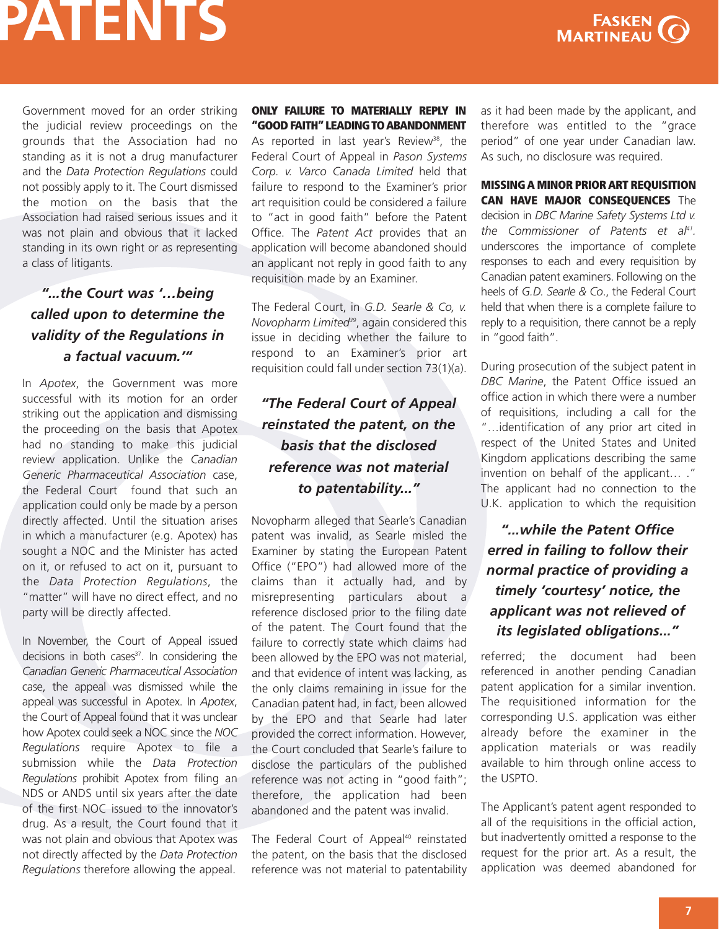

Government moved for an order striking the judicial review proceedings on the grounds that the Association had no standing as it is not a drug manufacturer and the *Data Protection Regulations* could not possibly apply to it. The Court dismissed the motion on the basis that the Association had raised serious issues and it was not plain and obvious that it lacked standing in its own right or as representing a class of litigants.

### *"...the Court was '…being called upon to determine the validity of the Regulations in a factual vacuum.'"*

In *Apotex*, the Government was more successful with its motion for an order striking out the application and dismissing the proceeding on the basis that Apotex had no standing to make this judicial review application. Unlike the *Canadian Generic Pharmaceutical Association* case, the Federal Court found that such an application could only be made by a person directly affected. Until the situation arises in which a manufacturer (e.g. Apotex) has sought a NOC and the Minister has acted on it, or refused to act on it, pursuant to the *Data Protection Regulations*, the "matter" will have no direct effect, and no party will be directly affected.

In November, the Court of Appeal issued decisions in both cases $37$ . In considering the *Canadian Generic Pharmaceutical Association* case, the appeal was dismissed while the appeal was successful in Apotex. In *Apotex*, the Court of Appeal found that it was unclear how Apotex could seek a NOC since the *NOC Regulations* require Apotex to file a submission while the *Data Protection Regulations* prohibit Apotex from filing an NDS or ANDS until six years after the date of the first NOC issued to the innovator's drug. As a result, the Court found that it was not plain and obvious that Apotex was not directly affected by the *Data Protection Regulations* therefore allowing the appeal.

#### **ONLY FAILURE TO MATERIALLY REPLY IN "GOODFAITH"LEADINGTOABANDONMENT**

As reported in last year's Review<sup>38</sup>, the Federal Court of Appeal in *Pason Systems Corp. v. Varco Canada Limited* held that failure to respond to the Examiner's prior art requisition could be considered a failure to "act in good faith" before the Patent Office. The *Patent Act* provides that an application will become abandoned should an applicant not reply in good faith to any requisition made by an Examiner.

The Federal Court, in *G.D. Searle & Co, v. Novopharm Limited39*, again considered this issue in deciding whether the failure to respond to an Examiner's prior art requisition could fall under section 73(1)(a).

### *"The Federal Court of Appeal reinstated the patent, on the basis that the disclosed reference was not material to patentability..."*

Novopharm alleged that Searle's Canadian patent was invalid, as Searle misled the Examiner by stating the European Patent Office ("EPO") had allowed more of the claims than it actually had, and by misrepresenting particulars about a reference disclosed prior to the filing date of the patent. The Court found that the failure to correctly state which claims had been allowed by the EPO was not material, and that evidence of intent was lacking, as the only claims remaining in issue for the Canadian patent had, in fact, been allowed by the EPO and that Searle had later provided the correct information. However, the Court concluded that Searle's failure to disclose the particulars of the published reference was not acting in "good faith"; therefore, the application had been abandoned and the patent was invalid.

The Federal Court of Appeal<sup>40</sup> reinstated the patent, on the basis that the disclosed reference was not material to patentability

as it had been made by the applicant, and therefore was entitled to the "grace period" of one year under Canadian law. As such, no disclosure was required.

**MISSINGA MINOR PRIORART REQUISITION CAN HAVE MAJOR CONSEQUENCES** The decision in *DBC Marine Safety Systems Ltd v. the Commissioner of Patents et al41.* underscores the importance of complete responses to each and every requisition by Canadian patent examiners. Following on the heels of *G.D. Searle & Co*., the Federal Court held that when there is a complete failure to reply to a requisition, there cannot be a reply in "good faith".

During prosecution of the subject patent in *DBC Marine*, the Patent Office issued an office action in which there were a number of requisitions, including a call for the "…identification of any prior art cited in respect of the United States and United Kingdom applications describing the same invention on behalf of the applicant… ." The applicant had no connection to the U.K. application to which the requisition

*"...while the Patent Office erred in failing to follow their normal practice of providing a timely 'courtesy' notice, the applicant was not relieved of its legislated obligations..."*

referred; the document had been referenced in another pending Canadian patent application for a similar invention. The requisitioned information for the corresponding U.S. application was either already before the examiner in the application materials or was readily available to him through online access to the USPTO.

The Applicant's patent agent responded to all of the requisitions in the official action, but inadvertently omitted a response to the request for the prior art. As a result, the application was deemed abandoned for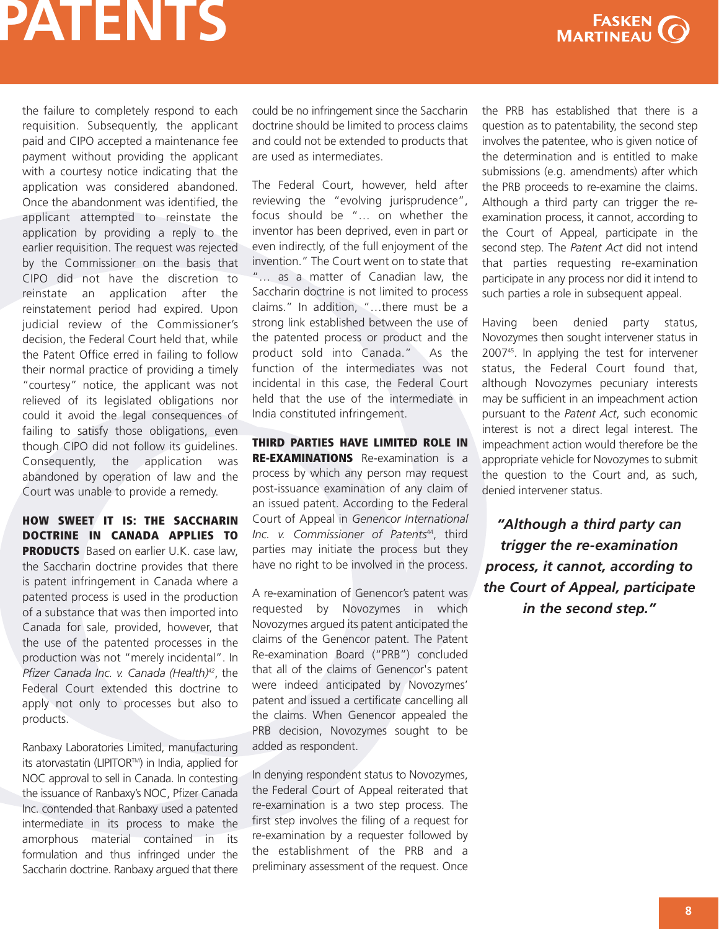

the failure to completely respond to each requisition. Subsequently, the applicant paid and CIPO accepted a maintenance fee payment without providing the applicant with a courtesy notice indicating that the application was considered abandoned. Once the abandonment was identified, the applicant attempted to reinstate the application by providing a reply to the earlier requisition. The request was rejected by the Commissioner on the basis that CIPO did not have the discretion to reinstate an application after the reinstatement period had expired. Upon judicial review of the Commissioner's decision, the Federal Court held that, while the Patent Office erred in failing to follow their normal practice of providing a timely "courtesy" notice, the applicant was not relieved of its legislated obligations nor could it avoid the legal consequences of failing to satisfy those obligations, even though CIPO did not follow its guidelines. Consequently, the application was abandoned by operation of law and the Court was unable to provide a remedy.

**HOW SWEET IT IS: THE SACCHARIN DOCTRINE IN CANADA APPLIES TO PRODUCTS** Based on earlier U.K. case law, the Saccharin doctrine provides that there is patent infringement in Canada where a patented process is used in the production of a substance that was then imported into Canada for sale, provided, however, that the use of the patented processes in the production was not "merely incidental". In *Pfizer Canada Inc. v. Canada (Health)42*, the Federal Court extended this doctrine to apply not only to processes but also to products.

Ranbaxy Laboratories Limited, manufacturing its atorvastatin (LIPITOR™) in India, applied for NOC approval to sell in Canada. In contesting the issuance of Ranbaxy's NOC, Pfizer Canada Inc. contended that Ranbaxy used a patented intermediate in its process to make the amorphous material contained in its formulation and thus infringed under the Saccharin doctrine. Ranbaxy argued that there could be no infringement since the Saccharin doctrine should be limited to process claims and could not be extended to products that are used as intermediates.

The Federal Court, however, held after reviewing the "evolving jurisprudence", focus should be "… on whether the inventor has been deprived, even in part or even indirectly, of the full enjoyment of the invention." The Court went on to state that "… as a matter of Canadian law, the Saccharin doctrine is not limited to process claims." In addition, "…there must be a strong link established between the use of the patented process or product and the product sold into Canada." As the function of the intermediates was not incidental in this case, the Federal Court held that the use of the intermediate in India constituted infringement.

**THIRD PARTIES HAVE LIMITED ROLE IN RE-EXAMINATIONS** Re-examination is a process by which any person may request post-issuance examination of any claim of an issued patent. According to the Federal Court of Appeal in *Genencor International Inc. v. Commissioner of Patents*44, third parties may initiate the process but they have no right to be involved in the process.

A re-examination of Genencor's patent was requested by Novozymes in which Novozymes argued its patent anticipated the claims of the Genencor patent. The Patent Re-examination Board ("PRB") concluded that all of the claims of Genencor's patent were indeed anticipated by Novozymes' patent and issued a certificate cancelling all the claims. When Genencor appealed the PRB decision, Novozymes sought to be added as respondent.

In denying respondent status to Novozymes, the Federal Court of Appeal reiterated that re-examination is a two step process. The first step involves the filing of a request for re-examination by a requester followed by the establishment of the PRB and a preliminary assessment of the request. Once

the PRB has established that there is a question as to patentability, the second step involves the patentee, who is given notice of the determination and is entitled to make submissions (e.g. amendments) after which the PRB proceeds to re-examine the claims. Although a third party can trigger the reexamination process, it cannot, according to the Court of Appeal, participate in the second step. The *Patent Act* did not intend that parties requesting re-examination participate in any process nor did it intend to such parties a role in subsequent appeal.

Having been denied party status, Novozymes then sought intervener status in 200745 . In applying the test for intervener status, the Federal Court found that, although Novozymes pecuniary interests may be sufficient in an impeachment action pursuant to the *Patent Act*, such economic interest is not a direct legal interest. The impeachment action would therefore be the appropriate vehicle for Novozymes to submit the question to the Court and, as such, denied intervener status.

*"Although a third party can trigger the re-examination process, it cannot, according to the Court of Appeal, participate in the second step."*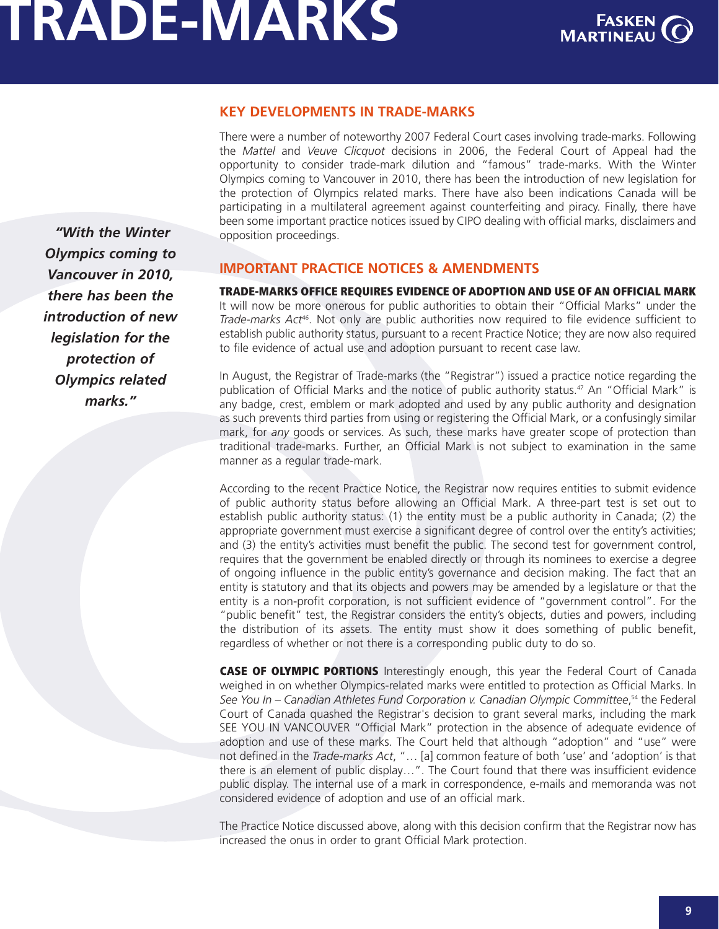

### **KEY DEVELOPMENTS IN TRADE-MARKS**

There were a number of noteworthy 2007 Federal Court cases involving trade-marks. Following the *Mattel* and *Veuve Clicquot* decisions in 2006, the Federal Court of Appeal had the opportunity to consider trade-mark dilution and "famous" trade-marks. With the Winter Olympics coming to Vancouver in 2010, there has been the introduction of new legislation for the protection of Olympics related marks. There have also been indications Canada will be participating in a multilateral agreement against counterfeiting and piracy. Finally, there have been some important practice notices issued by CIPO dealing with official marks, disclaimers and opposition proceedings.

**IMPORTANT PRACTICE NOTICES & AMENDMENTS**

**TRADE-MARKS OFFICE REQUIRES EVIDENCE OF ADOPTION AND USE OF AN OFFICIAL MARK** It will now be more onerous for public authorities to obtain their "Official Marks" under the *Trade-marks Act*46. Not only are public authorities now required to file evidence sufficient to establish public authority status, pursuant to a recent Practice Notice; they are now also required to file evidence of actual use and adoption pursuant to recent case law.

In August, the Registrar of Trade-marks (the "Registrar") issued a practice notice regarding the publication of Official Marks and the notice of public authority status.<sup>47</sup> An "Official Mark" is any badge, crest, emblem or mark adopted and used by any public authority and designation as such prevents third parties from using or registering the Official Mark, or a confusingly similar mark, for *any* goods or services. As such, these marks have greater scope of protection than traditional trade-marks. Further, an Official Mark is not subject to examination in the same manner as a regular trade-mark.

According to the recent Practice Notice, the Registrar now requires entities to submit evidence of public authority status before allowing an Official Mark. A three-part test is set out to establish public authority status: (1) the entity must be a public authority in Canada; (2) the appropriate government must exercise a significant degree of control over the entity's activities; and (3) the entity's activities must benefit the public. The second test for government control, requires that the government be enabled directly or through its nominees to exercise a degree of ongoing influence in the public entity's governance and decision making. The fact that an entity is statutory and that its objects and powers may be amended by a legislature or that the entity is a non-profit corporation, is not sufficient evidence of "government control". For the "public benefit" test, the Registrar considers the entity's objects, duties and powers, including the distribution of its assets. The entity must show it does something of public benefit, regardless of whether or not there is a corresponding public duty to do so.

**CASE OF OLYMPIC PORTIONS** Interestingly enough, this year the Federal Court of Canada weighed in on whether Olympics-related marks were entitled to protection as Official Marks. In *See You In – Canadian Athletes Fund Corporation v. Canadian Olympic Committee*, <sup>54</sup> the Federal Court of Canada quashed the Registrar's decision to grant several marks, including the mark SEE YOU IN VANCOUVER "Official Mark" protection in the absence of adequate evidence of adoption and use of these marks. The Court held that although "adoption" and "use" were not defined in the *Trade-marks Act*, "… [a] common feature of both 'use' and 'adoption' is that there is an element of public display…". The Court found that there was insufficient evidence public display. The internal use of a mark in correspondence, e-mails and memoranda was not considered evidence of adoption and use of an official mark.

The Practice Notice discussed above, along with this decision confirm that the Registrar now has increased the onus in order to grant Official Mark protection.

<span id="page-10-0"></span>*"With the Winter Olympics coming to Vancouver in 2010, there has been the introduction of new legislation for the protection of Olympics related marks."*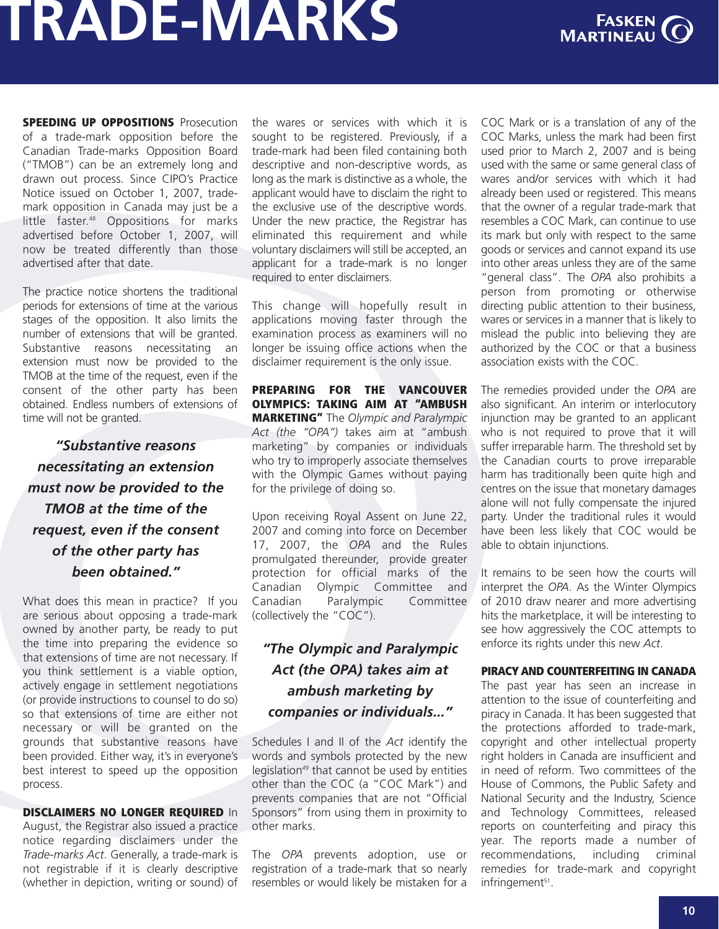

**SPEEDING UP OPPOSITIONS** Prosecution of a trade-mark opposition before the Canadian Trade-marks Opposition Board ("TMOB") can be an extremely long and drawn out process. Since CIPO's Practice Notice issued on October 1, 2007, trademark opposition in Canada may just be a little faster.<sup>48</sup> Oppositions for marks advertised before October 1, 2007, will now be treated differently than those advertised after that date.

The practice notice shortens the traditional periods for extensions of time at the various stages of the opposition. It also limits the number of extensions that will be granted. Substantive reasons necessitating an extension must now be provided to the TMOB at the time of the request, even if the consent of the other party has been obtained. Endless numbers of extensions of time will not be granted.

*"Substantive reasons necessitating an extension must now be provided to the TMOB at the time of the request, even if the consent of the other party has been obtained."*

What does this mean in practice? If you are serious about opposing a trade-mark owned by another party, be ready to put the time into preparing the evidence so that extensions of time are not necessary. If you think settlement is a viable option, actively engage in settlement negotiations (or provide instructions to counsel to do so) so that extensions of time are either not necessary or will be granted on the grounds that substantive reasons have been provided. Either way, it's in everyone's best interest to speed up the opposition process.

#### **DISCLAIMERS NO LONGER REQUIRED** In

August, the Registrar also issued a practice notice regarding disclaimers under the *Trade-marks Act*. Generally, a trade-mark is not registrable if it is clearly descriptive (whether in depiction, writing or sound) of the wares or services with which it is sought to be registered. Previously, if a trade-mark had been filed containing both descriptive and non-descriptive words, as long as the mark is distinctive as a whole, the applicant would have to disclaim the right to the exclusive use of the descriptive words. Under the new practice, the Registrar has eliminated this requirement and while voluntary disclaimers will still be accepted, an applicant for a trade-mark is no longer required to enter disclaimers.

This change will hopefully result in applications moving faster through the examination process as examiners will no longer be issuing office actions when the disclaimer requirement is the only issue.

**PREPARING FOR THE VANCOUVER OLYMPICS: TAKING AIM AT "AMBUSH MARKETING"** The *Olympic and Paralympic Act (the "OPA")* takes aim at "ambush marketing" by companies or individuals who try to improperly associate themselves with the Olympic Games without paying for the privilege of doing so.

Upon receiving Royal Assent on June 22, 2007 and coming into force on December 17, 2007, the *OPA* and the Rules promulgated thereunder, provide greater protection for official marks of the Canadian Olympic Committee and Canadian Paralympic Committee (collectively the "COC").

### *"The Olympic and Paralympic Act (the OPA) takes aim at ambush marketing by companies or individuals..."*

Schedules I and II of the *Act* identify the words and symbols protected by the new legislation*<sup>49</sup>* that cannot be used by entities other than the COC (a "COC Mark") and prevents companies that are not "Official Sponsors" from using them in proximity to other marks.

The *OPA* prevents adoption, use or registration of a trade-mark that so nearly resembles or would likely be mistaken for a COC Mark or is a translation of any of the COC Marks, unless the mark had been first used prior to March 2, 2007 and is being used with the same or same general class of wares and/or services with which it had already been used or registered. This means that the owner of a regular trade-mark that resembles a COC Mark, can continue to use its mark but only with respect to the same goods or services and cannot expand its use into other areas unless they are of the same "general class". The *OPA* also prohibits a person from promoting or otherwise directing public attention to their business, wares or services in a manner that is likely to mislead the public into believing they are authorized by the COC or that a business association exists with the COC.

The remedies provided under the *OPA* are also significant. An interim or interlocutory injunction may be granted to an applicant who is not required to prove that it will suffer irreparable harm. The threshold set by the Canadian courts to prove irreparable harm has traditionally been quite high and centres on the issue that monetary damages alone will not fully compensate the injured party. Under the traditional rules it would have been less likely that COC would be able to obtain injunctions.

It remains to be seen how the courts will interpret the *OPA*. As the Winter Olympics of 2010 draw nearer and more advertising hits the marketplace, it will be interesting to see how aggressively the COC attempts to enforce its rights under this new *Act*.

#### **PIRACY AND COUNTERFEITING IN CANADA**

The past year has seen an increase in attention to the issue of counterfeiting and piracy in Canada. It has been suggested that the protections afforded to trade-mark, copyright and other intellectual property right holders in Canada are insufficient and in need of reform. Two committees of the House of Commons, the Public Safety and National Security and the Industry, Science and Technology Committees, released reports on counterfeiting and piracy this year. The reports made a number of recommendations, including criminal remedies for trade-mark and copyright infringement<sup>51</sup>.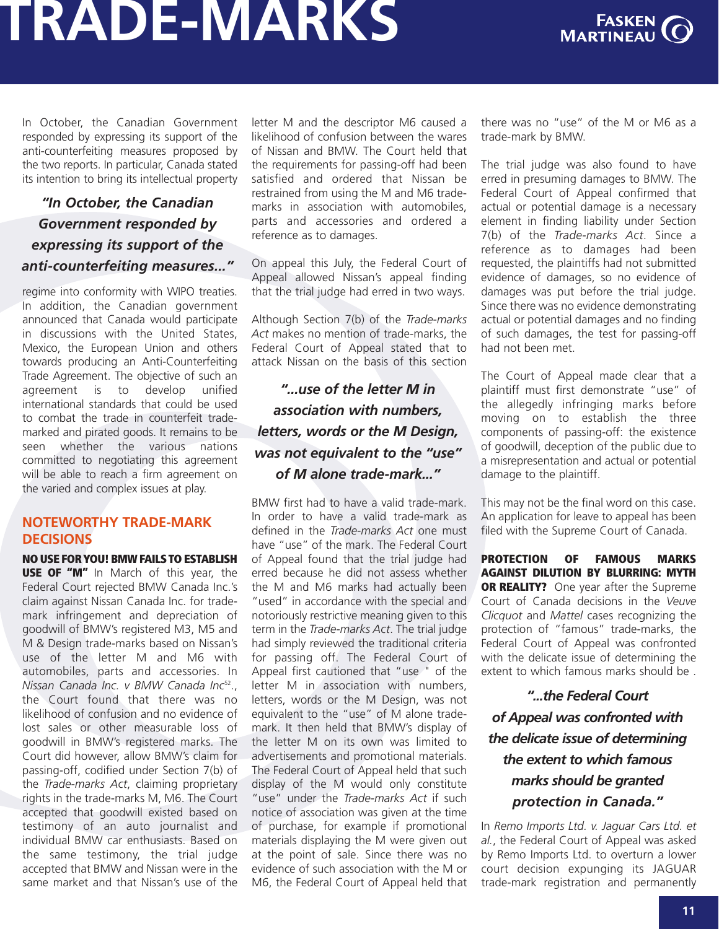

In October, the Canadian Government responded by expressing its support of the anti-counterfeiting measures proposed by the two reports. In particular, Canada stated its intention to bring its intellectual property

### *"In October, the Canadian Government responded by expressing its support of the anti-counterfeiting measures..."*

regime into conformity with WIPO treaties. In addition, the Canadian government announced that Canada would participate in discussions with the United States, Mexico, the European Union and others towards producing an Anti-Counterfeiting Trade Agreement. The objective of such an agreement is to develop unified international standards that could be used to combat the trade in counterfeit trademarked and pirated goods. It remains to be seen whether the various nations committed to negotiating this agreement will be able to reach a firm agreement on the varied and complex issues at play.

### **NOTEWORTHY TRADE-MARK DECISIONS**

**NO USE FORYOU! BMW FAILSTO ESTABLISH USE OF "M"** In March of this year, the Federal Court rejected BMW Canada Inc.'s claim against Nissan Canada Inc. for trademark infringement and depreciation of goodwill of BMW's registered M3, M5 and M & Design trade-marks based on Nissan's use of the letter M and M6 with automobiles, parts and accessories. In *Nissan Canada Inc. v BMW Canada Inc*<sup>52</sup> ., the Court found that there was no likelihood of confusion and no evidence of lost sales or other measurable loss of goodwill in BMW's registered marks. The Court did however, allow BMW's claim for passing-off, codified under Section 7(b) of the *Trade-marks Act*, claiming proprietary rights in the trade-marks M, M6. The Court accepted that goodwill existed based on testimony of an auto journalist and individual BMW car enthusiasts. Based on the same testimony, the trial judge accepted that BMW and Nissan were in the same market and that Nissan's use of the

letter M and the descriptor M6 caused a likelihood of confusion between the wares of Nissan and BMW. The Court held that the requirements for passing-off had been satisfied and ordered that Nissan be restrained from using the M and M6 trademarks in association with automobiles, parts and accessories and ordered a reference as to damages.

On appeal this July, the Federal Court of Appeal allowed Nissan's appeal finding that the trial judge had erred in two ways.

Although Section 7(b) of the *Trade-marks Act* makes no mention of trade-marks, the Federal Court of Appeal stated that to attack Nissan on the basis of this section

### *"...use of the letter M in association with numbers, letters, words or the M Design, was not equivalent to the "use" of M alone trade-mark..."*

BMW first had to have a valid trade-mark. In order to have a valid trade-mark as defined in the *Trade-marks Act* one must have "use" of the mark. The Federal Court of Appeal found that the trial judge had erred because he did not assess whether the M and M6 marks had actually been "used" in accordance with the special and notoriously restrictive meaning given to this term in the *Trade-marks Act*. The trial judge had simply reviewed the traditional criteria for passing off. The Federal Court of Appeal first cautioned that "use " of the letter M in association with numbers, letters, words or the M Design, was not equivalent to the "use" of M alone trademark. It then held that BMW's display of the letter M on its own was limited to advertisements and promotional materials. The Federal Court of Appeal held that such display of the M would only constitute "use" under the *Trade-marks Act* if such notice of association was given at the time of purchase, for example if promotional materials displaying the M were given out at the point of sale. Since there was no evidence of such association with the M or M6, the Federal Court of Appeal held that there was no "use" of the M or M6 as a trade-mark by BMW.

The trial judge was also found to have erred in presuming damages to BMW. The Federal Court of Appeal confirmed that actual or potential damage is a necessary element in finding liability under Section 7(b) of the *Trade-marks Act*. Since a reference as to damages had been requested, the plaintiffs had not submitted evidence of damages, so no evidence of damages was put before the trial judge. Since there was no evidence demonstrating actual or potential damages and no finding of such damages, the test for passing-off had not been met.

The Court of Appeal made clear that a plaintiff must first demonstrate "use" of the allegedly infringing marks before moving on to establish the three components of passing-off: the existence of goodwill, deception of the public due to a misrepresentation and actual or potential damage to the plaintiff.

This may not be the final word on this case. An application for leave to appeal has been filed with the Supreme Court of Canada.

**PROTECTION OF FAMOUS MARKS AGAINST DILUTION BY BLURRING: MYTH OR REALITY?** One year after the Supreme Court of Canada decisions in the *Veuve Clicquot* and *Mattel* cases recognizing the protection of "famous" trade-marks, the Federal Court of Appeal was confronted with the delicate issue of determining the extent to which famous marks should be .

*"...the Federal Court of Appeal was confronted with the delicate issue of determining the extent to which famous marks should be granted protection in Canada."*

In *Remo Imports Ltd. v. Jaguar Cars Ltd. et al.*, the Federal Court of Appeal was asked by Remo Imports Ltd. to overturn a lower court decision expunging its JAGUAR trade-mark registration and permanently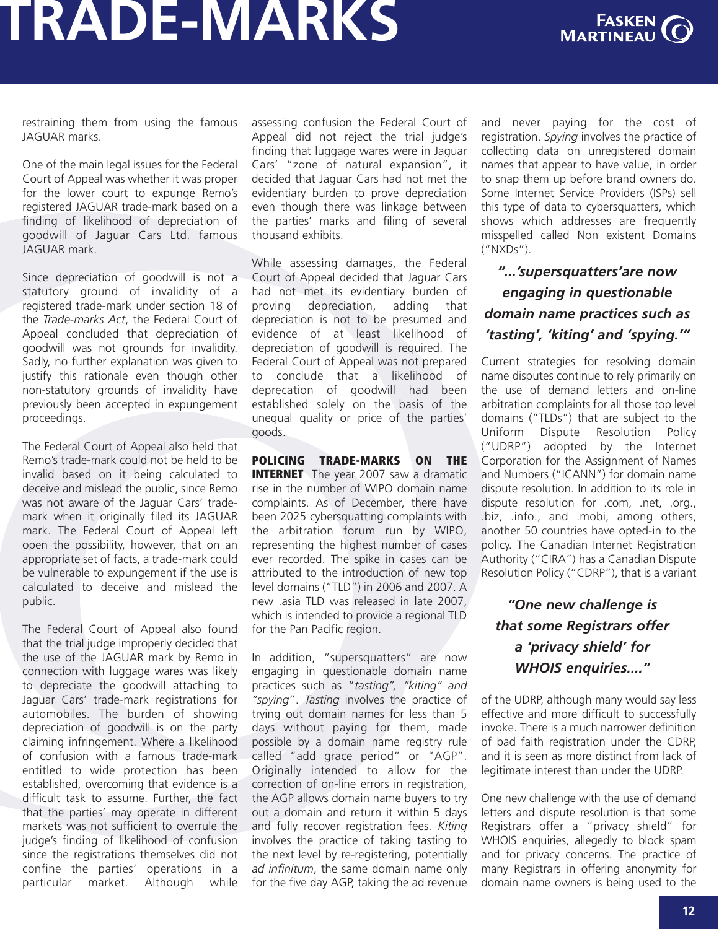

restraining them from using the famous JAGUAR marks.

One of the main legal issues for the Federal Court of Appeal was whether it was proper for the lower court to expunge Remo's registered JAGUAR trade-mark based on a finding of likelihood of depreciation of goodwill of Jaguar Cars Ltd. famous JAGUAR mark.

Since depreciation of goodwill is not a statutory ground of invalidity of a registered trade-mark under section 18 of the *Trade-marks Act*, the Federal Court of Appeal concluded that depreciation of goodwill was not grounds for invalidity. Sadly, no further explanation was given to justify this rationale even though other non-statutory grounds of invalidity have previously been accepted in expungement proceedings.

The Federal Court of Appeal also held that Remo's trade-mark could not be held to be invalid based on it being calculated to deceive and mislead the public, since Remo was not aware of the Jaguar Cars' trademark when it originally filed its JAGUAR mark. The Federal Court of Appeal left open the possibility, however, that on an appropriate set of facts, a trade-mark could be vulnerable to expungement if the use is calculated to deceive and mislead the public.

The Federal Court of Appeal also found that the trial judge improperly decided that the use of the JAGUAR mark by Remo in connection with luggage wares was likely to depreciate the goodwill attaching to Jaguar Cars' trade-mark registrations for automobiles. The burden of showing depreciation of goodwill is on the party claiming infringement. Where a likelihood of confusion with a famous trade-mark entitled to wide protection has been established, overcoming that evidence is a difficult task to assume. Further, the fact that the parties' may operate in different markets was not sufficient to overrule the judge's finding of likelihood of confusion since the registrations themselves did not confine the parties' operations in a particular market. Although while

assessing confusion the Federal Court of Appeal did not reject the trial judge's finding that luggage wares were in Jaguar Cars' "zone of natural expansion", it decided that Jaguar Cars had not met the evidentiary burden to prove depreciation even though there was linkage between the parties' marks and filing of several thousand exhibits.

While assessing damages, the Federal Court of Appeal decided that Jaguar Cars had not met its evidentiary burden of proving depreciation, adding that depreciation is not to be presumed and evidence of at least likelihood of depreciation of goodwill is required. The Federal Court of Appeal was not prepared to conclude that a likelihood of deprecation of goodwill had been established solely on the basis of the unequal quality or price of the parties' goods.

**POLICING TRADE-MARKS ON THE INTERNET** The year 2007 saw a dramatic rise in the number of WIPO domain name complaints. As of December, there have been 2025 cybersquatting complaints with the arbitration forum run by WIPO, representing the highest number of cases ever recorded. The spike in cases can be attributed to the introduction of new top level domains ("TLD") in 2006 and 2007. A new .asia TLD was released in late 2007, which is intended to provide a regional TLD for the Pan Pacific region.

In addition, "supersquatters" are now engaging in questionable domain name practices such as "*tasting", "kiting" and "spying*". *Tasting* involves the practice of trying out domain names for less than 5 days without paying for them, made possible by a domain name registry rule called "add grace period" or "AGP". Originally intended to allow for the correction of on-line errors in registration, the AGP allows domain name buyers to try out a domain and return it within 5 days and fully recover registration fees. *Kiting* involves the practice of taking tasting to the next level by re-registering, potentially *ad infinitum*, the same domain name only for the five day AGP, taking the ad revenue and never paying for the cost of registration. *Spying* involves the practice of collecting data on unregistered domain names that appear to have value, in order to snap them up before brand owners do. Some Internet Service Providers (ISPs) sell this type of data to cybersquatters, which shows which addresses are frequently misspelled called Non existent Domains ("NXDs").

### *"...'supersquatters'are now engaging in questionable domain name practices such as 'tasting', 'kiting' and 'spying.'"*

Current strategies for resolving domain name disputes continue to rely primarily on the use of demand letters and on-line arbitration complaints for all those top level domains ("TLDs") that are subject to the Uniform Dispute Resolution Policy ("UDRP") adopted by the Internet Corporation for the Assignment of Names and Numbers ("ICANN") for domain name dispute resolution. In addition to its role in dispute resolution for .com, .net, .org., .biz, .info., and .mobi, among others, another 50 countries have opted-in to the policy. The Canadian Internet Registration Authority ("CIRA") has a Canadian Dispute Resolution Policy ("CDRP"), that is a variant

### *"One new challenge is that some Registrars offer a 'privacy shield' for WHOIS enquiries...."*

of the UDRP, although many would say less effective and more difficult to successfully invoke. There is a much narrower definition of bad faith registration under the CDRP, and it is seen as more distinct from lack of legitimate interest than under the UDRP.

One new challenge with the use of demand letters and dispute resolution is that some Registrars offer a "privacy shield" for WHOIS enquiries, allegedly to block spam and for privacy concerns. The practice of many Registrars in offering anonymity for domain name owners is being used to the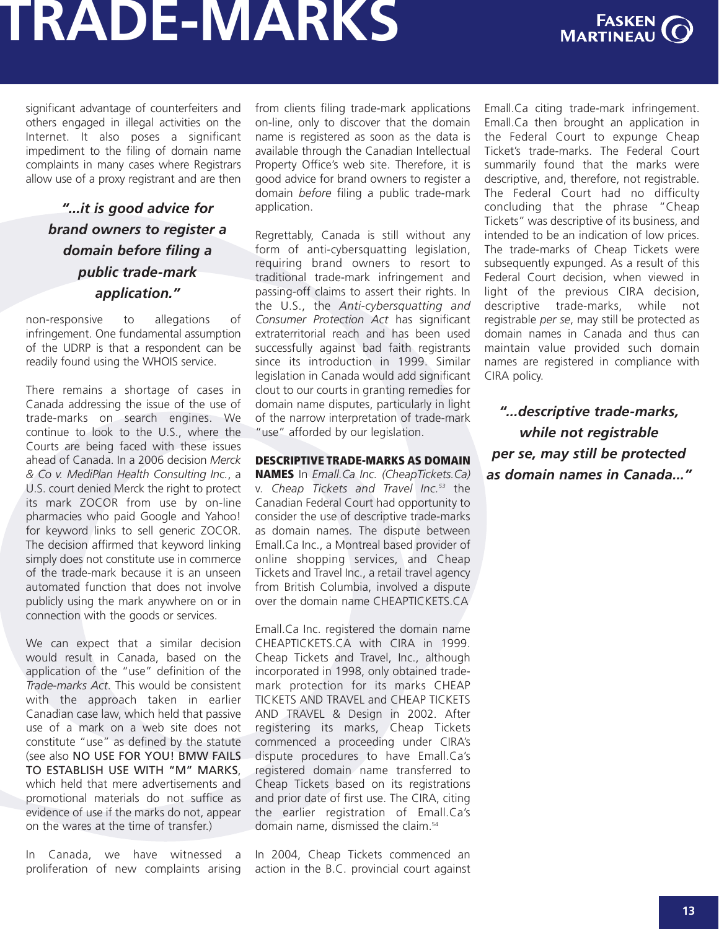

significant advantage of counterfeiters and others engaged in illegal activities on the Internet. It also poses a significant impediment to the filing of domain name complaints in many cases where Registrars allow use of a proxy registrant and are then

### *"...it is good advice for brand owners to register a domain before filing a public trade-mark application."*

non-responsive to allegations of infringement. One fundamental assumption of the UDRP is that a respondent can be readily found using the WHOIS service.

There remains a shortage of cases in Canada addressing the issue of the use of trade-marks on search engines. We continue to look to the U.S., where the Courts are being faced with these issues ahead of Canada. In a 2006 decision *Merck & Co v. MediPlan Health Consulting Inc.*, a U.S. court denied Merck the right to protect its mark ZOCOR from use by on-line pharmacies who paid Google and Yahoo! for keyword links to sell generic ZOCOR. The decision affirmed that keyword linking simply does not constitute use in commerce of the trade-mark because it is an unseen automated function that does not involve publicly using the mark anywhere on or in connection with the goods or services.

We can expect that a similar decision would result in Canada, based on the application of the "use" definition of the *Trade-marks Act*. This would be consistent with the approach taken in earlier Canadian case law, which held that passive use of a mark on a web site does not constitute "use" as defined by the statute (see also NO USE FOR YOU! BMW FAILS TO ESTABLISH USE WITH "M" MARKS, which held that mere advertisements and promotional materials do not suffice as evidence of use if the marks do not, appear on the wares at the time of transfer.)

In Canada, we have witnessed a proliferation of new complaints arising from clients filing trade-mark applications on-line, only to discover that the domain name is registered as soon as the data is available through the Canadian Intellectual Property Office's web site. Therefore, it is good advice for brand owners to register a domain *before* filing a public trade-mark application.

Regrettably, Canada is still without any form of anti-cybersquatting legislation, requiring brand owners to resort to traditional trade-mark infringement and passing-off claims to assert their rights. In the U.S., the *Anti-cybersquatting and Consumer Protection Act* has significant extraterritorial reach and has been used successfully against bad faith registrants since its introduction in 1999. Similar legislation in Canada would add significant clout to our courts in granting remedies for domain name disputes, particularly in light of the narrow interpretation of trade-mark "use" afforded by our legislation.

### **DESCRIPTIVE TRADE-MARKS AS DOMAIN**

**NAMES** In *Emall.Ca Inc. (CheapTickets.Ca)* v. *Cheap Tickets and Travel Inc. <sup>53</sup>* the Canadian Federal Court had opportunity to consider the use of descriptive trade-marks as domain names. The dispute between Emall.Ca Inc., a Montreal based provider of online shopping services, and Cheap Tickets and Travel Inc., a retail travel agency from British Columbia, involved a dispute over the domain name CHEAPTICKETS.CA

Emall.Ca Inc. registered the domain name CHEAPTICKETS.CA with CIRA in 1999. Cheap Tickets and Travel, Inc., although incorporated in 1998, only obtained trademark protection for its marks CHEAP TICKETS AND TRAVEL and CHEAP TICKETS AND TRAVEL & Design in 2002. After registering its marks, Cheap Tickets commenced a proceeding under CIRA's dispute procedures to have Emall.Ca's registered domain name transferred to Cheap Tickets based on its registrations and prior date of first use. The CIRA, citing the earlier registration of Emall.Ca's domain name, dismissed the claim.<sup>54</sup>

In 2004, Cheap Tickets commenced an action in the B.C. provincial court against Emall.Ca citing trade-mark infringement. Emall.Ca then brought an application in the Federal Court to expunge Cheap Ticket's trade-marks. The Federal Court summarily found that the marks were descriptive, and, therefore, not registrable. The Federal Court had no difficulty concluding that the phrase "Cheap Tickets" was descriptive of its business, and intended to be an indication of low prices. The trade-marks of Cheap Tickets were subsequently expunged. As a result of this Federal Court decision, when viewed in light of the previous CIRA decision, descriptive trade-marks, while not registrable *per se*, may still be protected as domain names in Canada and thus can maintain value provided such domain names are registered in compliance with CIRA policy.

*"...descriptive trade-marks, while not registrable per se, may still be protected as domain names in Canada..."*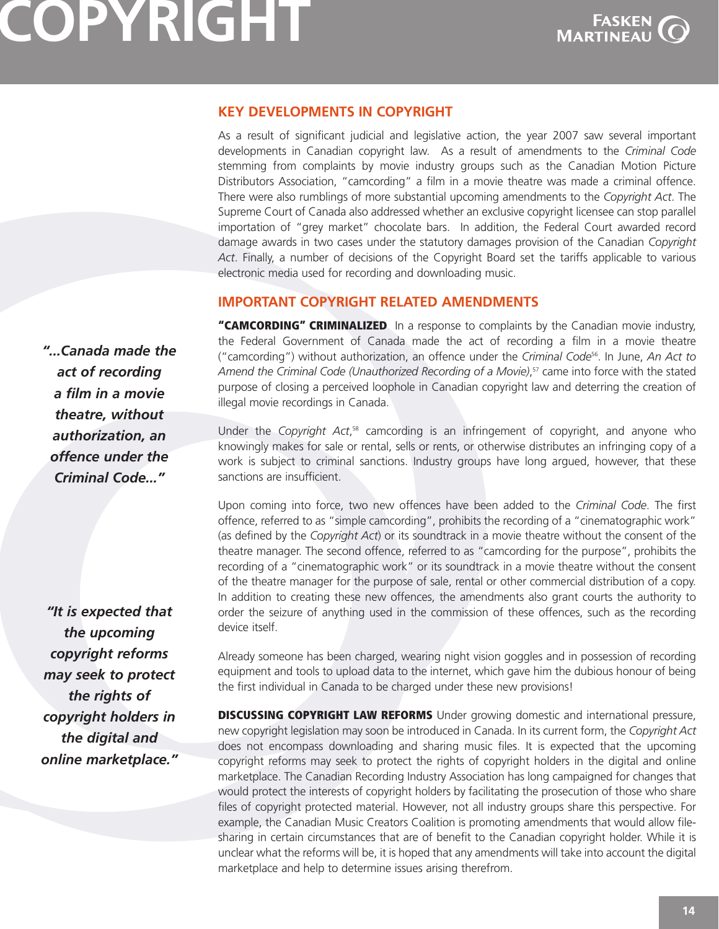

### <span id="page-15-0"></span>**KEY DEVELOPMENTS IN COPYRIGHT**

As a result of significant judicial and legislative action, the year 2007 saw several important developments in Canadian copyright law. As a result of amendments to the *Criminal Code* stemming from complaints by movie industry groups such as the Canadian Motion Picture Distributors Association, "camcording" a film in a movie theatre was made a criminal offence. There were also rumblings of more substantial upcoming amendments to the *Copyright Act*. The Supreme Court of Canada also addressed whether an exclusive copyright licensee can stop parallel importation of "grey market" chocolate bars. In addition, the Federal Court awarded record damage awards in two cases under the statutory damages provision of the Canadian *Copyright Act*. Finally, a number of decisions of the Copyright Board set the tariffs applicable to various electronic media used for recording and downloading music.

### **IMPORTANT COPYRIGHT RELATED AMENDMENTS**

**"CAMCORDING" CRIMINALIZED** In a response to complaints by the Canadian movie industry, the Federal Government of Canada made the act of recording a film in a movie theatre ("camcording") without authorization, an offence under the *Criminal Code*<sup>56</sup> . In June, *An Act to Amend the Criminal Code (Unauthorized Recording of a Movie)*, <sup>57</sup> came into force with the stated purpose of closing a perceived loophole in Canadian copyright law and deterring the creation of illegal movie recordings in Canada.

Under the *Copyright Act*,<sup>58</sup> camcording is an infringement of copyright, and anyone who knowingly makes for sale or rental, sells or rents, or otherwise distributes an infringing copy of a work is subject to criminal sanctions. Industry groups have long argued, however, that these sanctions are insufficient.

Upon coming into force, two new offences have been added to the *Criminal Code*. The first offence, referred to as "simple camcording", prohibits the recording of a "cinematographic work" (as defined by the *Copyright Act*) or its soundtrack in a movie theatre without the consent of the theatre manager. The second offence, referred to as "camcording for the purpose", prohibits the recording of a "cinematographic work" or its soundtrack in a movie theatre without the consent of the theatre manager for the purpose of sale, rental or other commercial distribution of a copy. In addition to creating these new offences, the amendments also grant courts the authority to order the seizure of anything used in the commission of these offences, such as the recording device itself.

Already someone has been charged, wearing night vision goggles and in possession of recording equipment and tools to upload data to the internet, which gave him the dubious honour of being the first individual in Canada to be charged under these new provisions!

**DISCUSSING COPYRIGHT LAW REFORMS** Under growing domestic and international pressure, new copyright legislation may soon be introduced in Canada. In its current form, the *Copyright Act* does not encompass downloading and sharing music files. It is expected that the upcoming copyright reforms may seek to protect the rights of copyright holders in the digital and online marketplace. The Canadian Recording Industry Association has long campaigned for changes that would protect the interests of copyright holders by facilitating the prosecution of those who share files of copyright protected material. However, not all industry groups share this perspective. For example, the Canadian Music Creators Coalition is promoting amendments that would allow filesharing in certain circumstances that are of benefit to the Canadian copyright holder. While it is unclear what the reforms will be, it is hoped that any amendments will take into account the digital marketplace and help to determine issues arising therefrom.

*"...Canada made the act of recording a film in a movie theatre, without authorization, an offence under the Criminal Code..."*

*"It is expected that the upcoming copyright reforms may seek to protect the rights of copyright holders in the digital and online marketplace."*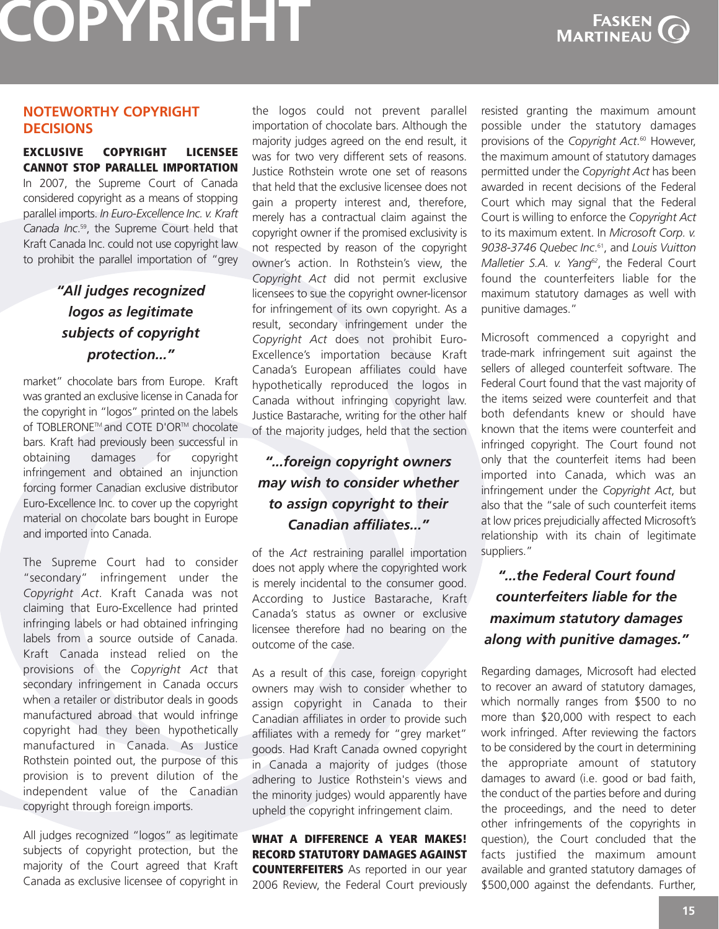

### **NOTEWORTHY COPYRIGHT DECISIONS**

#### **EXCLUSIVE COPYRIGHT LICENSEE CANNOT STOP PARALLEL IMPORTATION**

In 2007, the Supreme Court of Canada considered copyright as a means of stopping parallel imports. *In Euro-Excellence Inc. v. Kraft Canada Inc*. 59, the Supreme Court held that Kraft Canada Inc. could not use copyright law to prohibit the parallel importation of "grey

### *"All judges recognized logos as legitimate subjects of copyright protection..."*

market" chocolate bars from Europe. Kraft was granted an exclusive license in Canada for the copyright in "logos" printed on the labels of TOBLERONE™ and COTE D'OR™ chocolate bars. Kraft had previously been successful in obtaining damages for copyright infringement and obtained an injunction forcing former Canadian exclusive distributor Euro-Excellence Inc. to cover up the copyright material on chocolate bars bought in Europe and imported into Canada.

The Supreme Court had to consider "secondary" infringement under the *Copyright Act*. Kraft Canada was not claiming that Euro-Excellence had printed infringing labels or had obtained infringing labels from a source outside of Canada. Kraft Canada instead relied on the provisions of the *Copyright Act* that secondary infringement in Canada occurs when a retailer or distributor deals in goods manufactured abroad that would infringe copyright had they been hypothetically manufactured in Canada. As Justice Rothstein pointed out, the purpose of this provision is to prevent dilution of the independent value of the Canadian copyright through foreign imports.

All judges recognized "logos" as legitimate subjects of copyright protection, but the majority of the Court agreed that Kraft Canada as exclusive licensee of copyright in the logos could not prevent parallel importation of chocolate bars. Although the majority judges agreed on the end result, it was for two very different sets of reasons. Justice Rothstein wrote one set of reasons that held that the exclusive licensee does not gain a property interest and, therefore, merely has a contractual claim against the copyright owner if the promised exclusivity is not respected by reason of the copyright owner's action. In Rothstein's view, the *Copyright Act* did not permit exclusive licensees to sue the copyright owner-licensor for infringement of its own copyright. As a result, secondary infringement under the *Copyright Act* does not prohibit Euro-Excellence's importation because Kraft Canada's European affiliates could have hypothetically reproduced the logos in Canada without infringing copyright law. Justice Bastarache, writing for the other half of the majority judges, held that the section

### *"...foreign copyright owners may wish to consider whether to assign copyright to their Canadian affiliates..."*

of the *Act* restraining parallel importation does not apply where the copyrighted work is merely incidental to the consumer good. According to Justice Bastarache, Kraft Canada's status as owner or exclusive licensee therefore had no bearing on the outcome of the case.

As a result of this case, foreign copyright owners may wish to consider whether to assign copyright in Canada to their Canadian affiliates in order to provide such affiliates with a remedy for "grey market" goods. Had Kraft Canada owned copyright in Canada a majority of judges (those adhering to Justice Rothstein's views and the minority judges) would apparently have upheld the copyright infringement claim.

**WHAT A DIFFERENCE A YEAR MAKES! RECORD STATUTORY DAMAGES AGAINST COUNTERFEITERS** As reported in our year 2006 Review, the Federal Court previously resisted granting the maximum amount possible under the statutory damages provisions of the *Copyright Act*. <sup>60</sup> However, the maximum amount of statutory damages permitted under the *Copyright Act* has been awarded in recent decisions of the Federal Court which may signal that the Federal Court is willing to enforce the *Copyright Act* to its maximum extent. In *Microsoft Corp. v. 9038-3746 Quebec Inc*. 61, and *Louis Vuitton Malletier S.A. v. Yang62*, the Federal Court found the counterfeiters liable for the maximum statutory damages as well with punitive damages."

Microsoft commenced a copyright and trade-mark infringement suit against the sellers of alleged counterfeit software. The Federal Court found that the vast majority of the items seized were counterfeit and that both defendants knew or should have known that the items were counterfeit and infringed copyright. The Court found not only that the counterfeit items had been imported into Canada, which was an infringement under the *Copyright Act*, but also that the "sale of such counterfeit items at low prices prejudicially affected Microsoft's relationship with its chain of legitimate suppliers."

### *"...the Federal Court found counterfeiters liable for the maximum statutory damages along with punitive damages."*

Regarding damages, Microsoft had elected to recover an award of statutory damages, which normally ranges from \$500 to no more than \$20,000 with respect to each work infringed. After reviewing the factors to be considered by the court in determining the appropriate amount of statutory damages to award (i.e. good or bad faith, the conduct of the parties before and during the proceedings, and the need to deter other infringements of the copyrights in question), the Court concluded that the facts justified the maximum amount available and granted statutory damages of \$500,000 against the defendants. Further,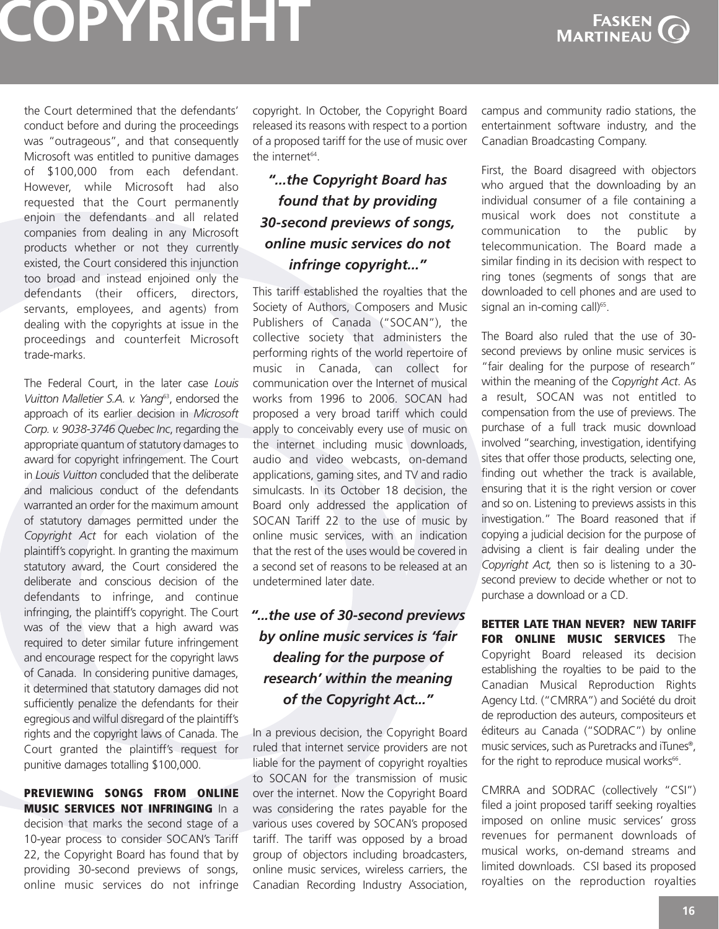

the Court determined that the defendants' conduct before and during the proceedings was "outrageous", and that consequently Microsoft was entitled to punitive damages of \$100,000 from each defendant. However, while Microsoft had also requested that the Court permanently enjoin the defendants and all related companies from dealing in any Microsoft products whether or not they currently existed, the Court considered this injunction too broad and instead enjoined only the defendants (their officers, directors, servants, employees, and agents) from dealing with the copyrights at issue in the proceedings and counterfeit Microsoft trade-marks.

The Federal Court, in the later case *Louis Vuitton Malletier S.A. v. Yang*63, endorsed the approach of its earlier decision in *Microsoft Corp. v. 9038-3746 Quebec Inc*, regarding the appropriate quantum of statutory damages to award for copyright infringement. The Court in *Louis Vuitton* concluded that the deliberate and malicious conduct of the defendants warranted an order for the maximum amount of statutory damages permitted under the *Copyright Act* for each violation of the plaintiff's copyright. In granting the maximum statutory award, the Court considered the deliberate and conscious decision of the defendants to infringe, and continue infringing, the plaintiff's copyright. The Court was of the view that a high award was required to deter similar future infringement and encourage respect for the copyright laws of Canada. In considering punitive damages, it determined that statutory damages did not sufficiently penalize the defendants for their egregious and wilful disregard of the plaintiff's rights and the copyright laws of Canada. The Court granted the plaintiff's request for punitive damages totalling \$100,000.

#### **PREVIEWING SONGS FROM ONLINE MUSIC SERVICES NOT INFRINGING** In a decision that marks the second stage of a 10-year process to consider SOCAN's Tariff 22, the Copyright Board has found that by providing 30-second previews of songs, online music services do not infringe

copyright. In October, the Copyright Board released its reasons with respect to a portion of a proposed tariff for the use of music over the internet<sup>64</sup>

### *"...the Copyright Board has found that by providing 30-second previews of songs, online music services do not infringe copyright..."*

This tariff established the royalties that the Society of Authors, Composers and Music Publishers of Canada ("SOCAN"), the collective society that administers the performing rights of the world repertoire of music in Canada, can collect for communication over the Internet of musical works from 1996 to 2006. SOCAN had proposed a very broad tariff which could apply to conceivably every use of music on the internet including music downloads, audio and video webcasts, on-demand applications, gaming sites, and TV and radio simulcasts. In its October 18 decision, the Board only addressed the application of SOCAN Tariff 22 to the use of music by online music services, with an indication that the rest of the uses would be covered in a second set of reasons to be released at an undetermined later date.

### *"...the use of 30-second previews by online music services is 'fair dealing for the purpose of research' within the meaning of the Copyright Act..."*

In a previous decision, the Copyright Board ruled that internet service providers are not liable for the payment of copyright royalties to SOCAN for the transmission of music over the internet. Now the Copyright Board was considering the rates payable for the various uses covered by SOCAN's proposed tariff. The tariff was opposed by a broad group of objectors including broadcasters, online music services, wireless carriers, the Canadian Recording Industry Association, campus and community radio stations, the entertainment software industry, and the Canadian Broadcasting Company.

First, the Board disagreed with objectors who argued that the downloading by an individual consumer of a file containing a musical work does not constitute a communication to the public by telecommunication. The Board made a similar finding in its decision with respect to ring tones (segments of songs that are downloaded to cell phones and are used to signal an in-coming call) $65$ .

The Board also ruled that the use of 30 second previews by online music services is "fair dealing for the purpose of research" within the meaning of the *Copyright Act*. As a result, SOCAN was not entitled to compensation from the use of previews. The purchase of a full track music download involved "searching, investigation, identifying sites that offer those products, selecting one, finding out whether the track is available, ensuring that it is the right version or cover and so on. Listening to previews assists in this investigation." The Board reasoned that if copying a judicial decision for the purpose of advising a client is fair dealing under the *Copyright Act,* then so is listening to a 30 second preview to decide whether or not to purchase a download or a CD.

**BETTER LATE THAN NEVER? NEW TARIFF FOR ONLINE MUSIC SERVICES** The Copyright Board released its decision establishing the royalties to be paid to the Canadian Musical Reproduction Rights Agency Ltd. ("CMRRA") and Société du droit de reproduction des auteurs, compositeurs et éditeurs au Canada ("SODRAC") by online music services, such as Puretracks and iTunes<sup>®</sup>, for the right to reproduce musical works<sup>66</sup>.

CMRRA and SODRAC (collectively "CSI") filed a joint proposed tariff seeking royalties imposed on online music services' gross revenues for permanent downloads of musical works, on-demand streams and limited downloads. CSI based its proposed royalties on the reproduction royalties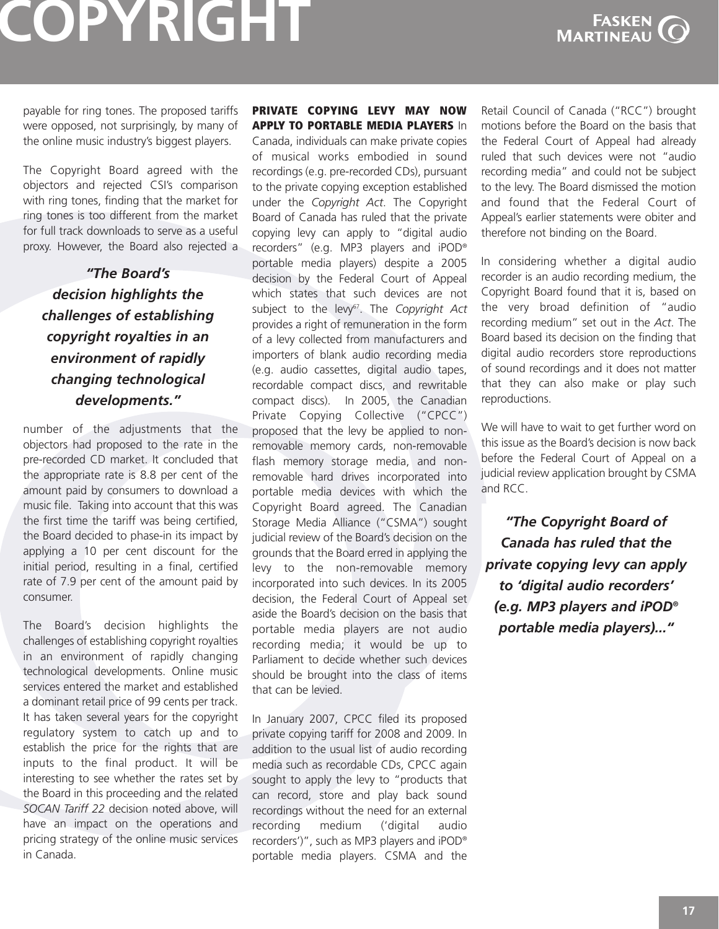

payable for ring tones. The proposed tariffs were opposed, not surprisingly, by many of the online music industry's biggest players.

The Copyright Board agreed with the objectors and rejected CSI's comparison with ring tones, finding that the market for ring tones is too different from the market for full track downloads to serve as a useful proxy. However, the Board also rejected a

### *"The Board's decision highlights the challenges of establishing copyright royalties in an environment of rapidly changing technological developments."*

number of the adjustments that the objectors had proposed to the rate in the pre-recorded CD market. It concluded that the appropriate rate is 8.8 per cent of the amount paid by consumers to download a music file. Taking into account that this was the first time the tariff was being certified, the Board decided to phase-in its impact by applying a 10 per cent discount for the initial period, resulting in a final, certified rate of 7.9 per cent of the amount paid by consumer.

The Board's decision highlights the challenges of establishing copyright royalties in an environment of rapidly changing technological developments. Online music services entered the market and established a dominant retail price of 99 cents per track. It has taken several years for the copyright regulatory system to catch up and to establish the price for the rights that are inputs to the final product. It will be interesting to see whether the rates set by the Board in this proceeding and the related *SOCAN Tariff 22* decision noted above, will have an impact on the operations and pricing strategy of the online music services in Canada.

#### **PRIVATE COPYING LEVY MAY NOW APPLY TO PORTABLE MEDIA PLAYERS** In

Canada, individuals can make private copies of musical works embodied in sound recordings (e.g. pre-recorded CDs), pursuant to the private copying exception established under the *Copyright Act*. The Copyright Board of Canada has ruled that the private copying levy can apply to "digital audio recorders" (e.g. MP3 players and iPOD® portable media players) despite a 2005 decision by the Federal Court of Appeal which states that such devices are not subject to the levy<sup>67</sup>. The *Copyright Act* provides a right of remuneration in the form of a levy collected from manufacturers and importers of blank audio recording media (e.g. audio cassettes, digital audio tapes, recordable compact discs, and rewritable compact discs). In 2005, the Canadian Private Copying Collective ("CPCC") proposed that the levy be applied to nonremovable memory cards, non-removable flash memory storage media, and nonremovable hard drives incorporated into portable media devices with which the Copyright Board agreed. The Canadian Storage Media Alliance ("CSMA") sought judicial review of the Board's decision on the grounds that the Board erred in applying the levy to the non-removable memory incorporated into such devices. In its 2005 decision, the Federal Court of Appeal set aside the Board's decision on the basis that portable media players are not audio recording media; it would be up to Parliament to decide whether such devices should be brought into the class of items that can be levied.

In January 2007, CPCC filed its proposed private copying tariff for 2008 and 2009. In addition to the usual list of audio recording media such as recordable CDs, CPCC again sought to apply the levy to "products that can record, store and play back sound recordings without the need for an external recording medium ('digital audio recorders')", such as MP3 players and iPOD® portable media players. CSMA and the

Retail Council of Canada ("RCC") brought motions before the Board on the basis that the Federal Court of Appeal had already ruled that such devices were not "audio recording media" and could not be subject to the levy. The Board dismissed the motion and found that the Federal Court of Appeal's earlier statements were obiter and therefore not binding on the Board.

In considering whether a digital audio recorder is an audio recording medium, the Copyright Board found that it is, based on the very broad definition of "audio recording medium" set out in the *Act*. The Board based its decision on the finding that digital audio recorders store reproductions of sound recordings and it does not matter that they can also make or play such reproductions.

We will have to wait to get further word on this issue as the Board's decision is now back before the Federal Court of Appeal on a judicial review application brought by CSMA and RCC.

*"The Copyright Board of Canada has ruled that the private copying levy can apply to 'digital audio recorders' (e.g. MP3 players and iPOD® portable media players)..."*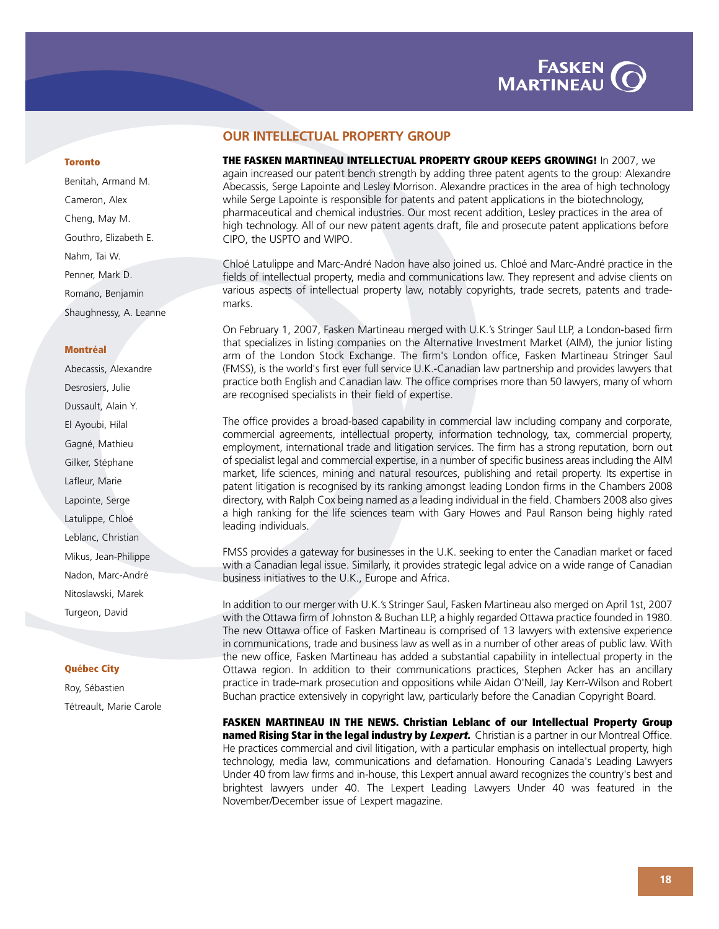

#### **OUR INTELLECTUAL PROPERTY GROUP**

**THE FASKEN MARTINEAU INTELLECTUAL PROPERTY GROUP KEEPS GROWING!** In 2007, we again increased our patent bench strength by adding three patent agents to the group: Alexandre Abecassis, Serge Lapointe and Lesley Morrison. Alexandre practices in the area of high technology while Serge Lapointe is responsible for patents and patent applications in the biotechnology, pharmaceutical and chemical industries. Our most recent addition, Lesley practices in the area of high technology. All of our new patent agents draft, file and prosecute patent applications before CIPO, the USPTO and WIPO.

Chloé Latulippe and Marc-André Nadon have also joined us. Chloé and Marc-André practice in the fields of intellectual property, media and communications law. They represent and advise clients on various aspects of intellectual property law, notably copyrights, trade secrets, patents and trademarks.

On February 1, 2007, Fasken Martineau merged with U.K.'s Stringer Saul LLP, a London-based firm that specializes in listing companies on the Alternative Investment Market (AIM), the junior listing arm of the London Stock Exchange. The firm's London office, Fasken Martineau Stringer Saul (FMSS), is the world's first ever full service U.K.-Canadian law partnership and provides lawyers that practice both English and Canadian law. The office comprises more than 50 lawyers, many of whom are recognised specialists in their field of expertise.

The office provides a broad-based capability in commercial law including company and corporate, commercial agreements, intellectual property, information technology, tax, commercial property, employment, international trade and litigation services. The firm has a strong reputation, born out of specialist legal and commercial expertise, in a number of specific business areas including the AIM market, life sciences, mining and natural resources, publishing and retail property. Its expertise in patent litigation is recognised by its ranking amongst leading London firms in the Chambers 2008 directory, with Ralph Cox being named as a leading individual in the field. Chambers 2008 also gives a high ranking for the life sciences team with Gary Howes and Paul Ranson being highly rated leading individuals.

FMSS provides a gateway for businesses in the U.K. seeking to enter the Canadian market or faced with a Canadian legal issue. Similarly, it provides strategic legal advice on a wide range of Canadian business initiatives to the U.K., Europe and Africa.

In addition to our merger with U.K.'s Stringer Saul, Fasken Martineau also merged on April 1st, 2007 with the Ottawa firm of Johnston & Buchan LLP, a highly regarded Ottawa practice founded in 1980. The new Ottawa office of Fasken Martineau is comprised of 13 lawyers with extensive experience in communications, trade and business law as well as in a number of other areas of public law. With the new office, Fasken Martineau has added a substantial capability in intellectual property in the Ottawa region. In addition to their communications practices, Stephen Acker has an ancillary practice in trade-mark prosecution and oppositions while Aidan O'Neill, Jay Kerr-Wilson and Robert Buchan practice extensively in copyright law, particularly before the Canadian Copyright Board.

**FASKEN MARTINEAU IN THE NEWS. Christian Leblanc of our Intellectual Property Group named Rising Star in the legal industry by Lexpert.** Christian is a partner in our Montreal Office. He practices commercial and civil litigation, with a particular emphasis on intellectual property, high technology, media law, communications and defamation. Honouring Canada's Leading Lawyers Under 40 from law firms and in-house, this Lexpert annual award recognizes the country's best and brightest lawyers under 40. The Lexpert Leading Lawyers Under 40 was featured in the November/December issue of Lexpert magazine.

#### **Toronto**

[Benitah, Armand M.](http://www.fasken.com/abenitah/)  [Cameron, Alex](http://www.fasken.com/acameron/) [Cheng, May M.](http://www.fasken.com/mcheng/)  [Gouthro, Elizabeth E.](http://www.fasken.com/egouthro/)  [Nahm, Tai W.](http://www.fasken.com/tnahm/)  [Penner, Mark D.](http://www.fasken.com/mpenner/)  [Romano, Benjamin](http://www.fasken.com/bromano/)  [Shaughnessy, A. Leanne](http://www.fasken.com/lawyers/detail.aspx?professional=5645) 

#### **Montréal**

[Abecassis, Alexandre](http://www.fasken.com/alexandre_abecassis/)  [Desrosiers, Julie](http://www.fasken.com/lawyers/detail.aspx?professional=4112)  [Dussault, Alain Y.](http://www.fasken.com/lawyers/detail.aspx?professional=5479)  [El Ayoubi, Hilal](http://www.fasken.com/lawyers/detail.aspx?professional=5869)  [Gagné, Mathieu](http://www.fasken.com/lawyers/detail.aspx?professional=5529)  [Gilker, Stéphane](http://www.fasken.com/lawyers/detail.aspx?professional=3304)  [Lafleur, Marie](http://www.fasken.com/lawyers/detail.aspx?professional=4162)  [Lapointe, Serge](http://www.fasken.com/serge_lapointe/)  [Latulippe, Chloé](http://www.fasken.com/lawyers/detail.aspx?professional=6237) [Leblanc, Christian](http://www.fasken.com/lawyers/detail.aspx?professional=5564)  [Mikus, Jean-Philippe](http://www.fasken.com/lawyers/detail.aspx?professional=5637)  [Nadon, Marc-André](http://www.fasken.com/mnadon/) [Nitoslawski, Marek](http://www.fasken.com/lawyers/detail.aspx?professional=6162)  [Turgeon, David](http://www.fasken.com/dturgeon/) 

#### **Québec City**

[Roy, Sébastien](http://www.fasken.com/lawyers/detail.aspx?professional=5677)  [Tétreault, Marie Carole](http://www.fasken.com/lawyers/detail.aspx?professional=5545)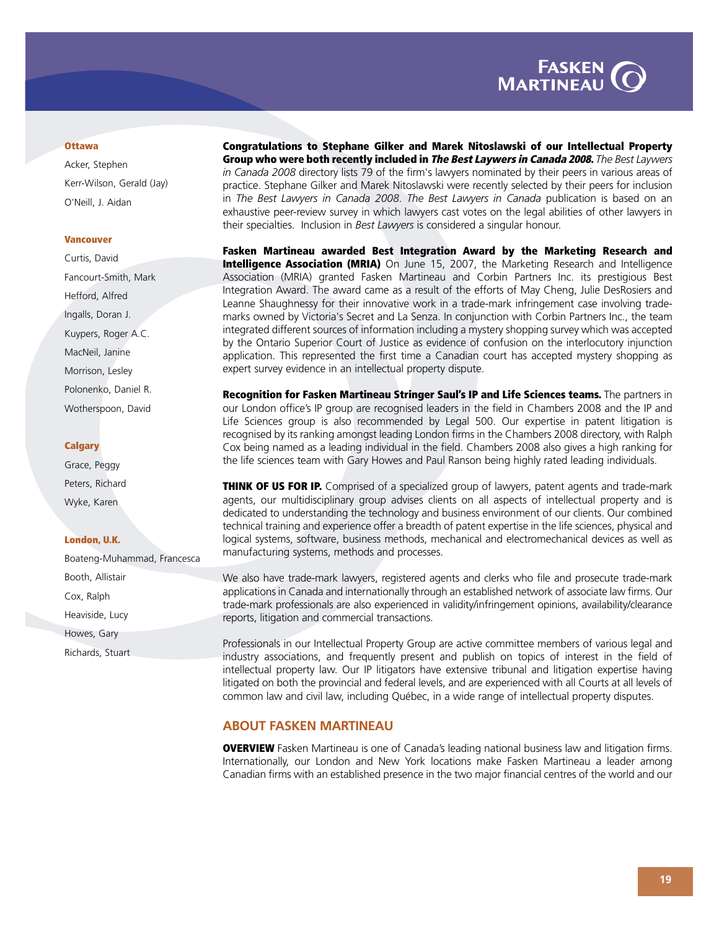

#### **Ottawa**

[Acker, Stephen](http://www.fasken.com/sacker/) [Kerr-Wilson, Gerald \(Jay\)](http://www.fasken.com/jkerrwilson/)  [O'Neill, J. Aidan](http://www.fasken.com/aoneill/) 

#### **Vancouver**

[Curtis, David](http://www.fasken.com/lawyers/detail.aspx?professional=5432)  [Fancourt-Smith, Mark](http://www.fasken.com/mfancourtsmith/)  [Hefford, Alfred](http://www.fasken.com/lawyers/detail.aspx?professional=6337)  [Ingalls, Doran J.](http://www.fasken.com/lawyers/detail.aspx?professional=6075)  [Kuypers, Roger A.C.](http://www.fasken.com/lawyers/detail.aspx?professional=3302)  [MacNeil, Janine](http://www.fasken.com/lawyers/detail.aspx?professional=3249)  [Morrison, Lesley](http://www.fasken.com/lawyers/detail.aspx?professional=5686) [Polonenko, Daniel R.](http://www.fasken.com/lawyers/detail.aspx?professional=3249)  [Wotherspoon, David](http://www.fasken.com/dwotherspoon/) 

#### **Calgary**

[Grace, Peggy](http://www.fasken.com/lawyers/detail.aspx?professional=5652)  [Peters, Richard](http://www.fasken.com/lawyers/detail.aspx?professional=3677)  [Wyke, Karen](http://www.fasken.com/lawyers/detail.aspx?professional=5771)

#### **London, U.K.**

[Boateng-Muhammad, Francesca](http://www.fasken.com/fboateng-muhammad/)  [Booth, Allistair](http://www.fasken.com/abooth/)  [Cox, Ralph](http://www.fasken.com/rcox/)  [Heaviside, Lucy](http://www.fasken.com/lheaviside/)  [Howes, Gary](http://www.fasken.com/ghowes/)  [Richards, Stuart](http://www.fasken.com/srichards/) 

**Congratulations to Stephane Gilker and Marek Nitoslawski of our Intellectual Property Group who were both recently included in The Best Laywers in Canada 2008.** *The Best Laywers in Canada 2008* directory lists 79 of the firm's lawyers nominated by their peers in various areas of practice. Stephane Gilker and Marek Nitoslawski were recently selected by their peers for inclusion in *The Best Lawyers in Canada 2008*. *The Best Lawyers in Canada* publication is based on an exhaustive peer-review survey in which lawyers cast votes on the legal abilities of other lawyers in their specialties. Inclusion in *Best Lawyers* is considered a singular honour.

**Fasken Martineau awarded Best Integration Award by the Marketing Research and Intelligence Association (MRIA)** On June 15, 2007, the Marketing Research and Intelligence Association (MRIA) granted Fasken Martineau and Corbin Partners Inc. its prestigious Best Integration Award. The award came as a result of the efforts of May Cheng, Julie DesRosiers and Leanne Shaughnessy for their innovative work in a trade-mark infringement case involving trademarks owned by Victoria's Secret and La Senza. In conjunction with Corbin Partners Inc., the team integrated different sources of information including a mystery shopping survey which was accepted by the Ontario Superior Court of Justice as evidence of confusion on the interlocutory injunction application. This represented the first time a Canadian court has accepted mystery shopping as expert survey evidence in an intellectual property dispute.

**Recognition for Fasken Martineau Stringer Saul's IP and Life Sciences teams.** The partners in our London office's IP group are recognised leaders in the field in Chambers 2008 and the IP and Life Sciences group is also recommended by Legal 500. Our expertise in patent litigation is recognised by its ranking amongst leading London firms in the Chambers 2008 directory, with Ralph Cox being named as a leading individual in the field. Chambers 2008 also gives a high ranking for the life sciences team with Gary Howes and Paul Ranson being highly rated leading individuals.

**THINK OF US FOR IP.** Comprised of a specialized group of lawyers, patent agents and trade-mark agents, our multidisciplinary group advises clients on all aspects of intellectual property and is dedicated to understanding the technology and business environment of our clients. Our combined technical training and experience offer a breadth of patent expertise in the life sciences, physical and logical systems, software, business methods, mechanical and electromechanical devices as well as manufacturing systems, methods and processes.

We also have trade-mark lawyers, registered agents and clerks who file and prosecute trade-mark applications in Canada and internationally through an established network of associate law firms. Our trade-mark professionals are also experienced in validity/infringement opinions, availability/clearance reports, litigation and commercial transactions.

Professionals in our Intellectual Property Group are active committee members of various legal and industry associations, and frequently present and publish on topics of interest in the field of intellectual property law. Our IP litigators have extensive tribunal and litigation expertise having litigated on both the provincial and federal levels, and are experienced with all Courts at all levels of common law and civil law, including Québec, in a wide range of intellectual property disputes.

#### **ABOUT FASKEN MARTINEAU**

**OVERVIEW** Fasken Martineau is one of Canada's leading national business law and litigation firms. Internationally, our London and New York locations make Fasken Martineau a leader among Canadian firms with an established presence in the two major financial centres of the world and our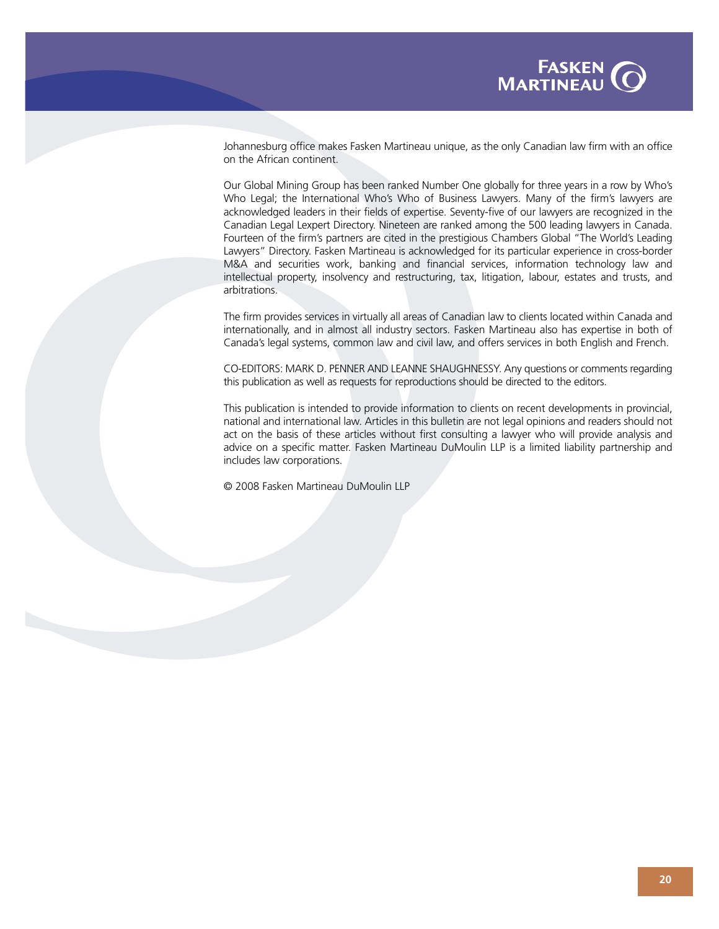

Johannesburg office makes Fasken Martineau unique, as the only Canadian law firm with an office on the African continent.

Our Global Mining Group has been ranked Number One globally for three years in a row by Who's Who Legal; the International Who's Who of Business Lawyers. Many of the firm's lawyers are acknowledged leaders in their fields of expertise. Seventy-five of our lawyers are recognized in the Canadian Legal Lexpert Directory. Nineteen are ranked among the 500 leading lawyers in Canada. Fourteen of the firm's partners are cited in the prestigious Chambers Global "The World's Leading Lawyers" Directory. Fasken Martineau is acknowledged for its particular experience in cross-border M&A and securities work, banking and financial services, information technology law and intellectual property, insolvency and restructuring, tax, litigation, labour, estates and trusts, and arbitrations.

The firm provides services in virtually all areas of Canadian law to clients located within Canada and internationally, and in almost all industry sectors. Fasken Martineau also has expertise in both of Canada's legal systems, common law and civil law, and offers services in both English and French.

CO-EDITORS: MARK D. PENNER AND LEANNE SHAUGHNESSY. Any questions or comments regarding this publication as well as requests for reproductions should be directed to the editors.

This publication is intended to provide information to clients on recent developments in provincial, national and international law. Articles in this bulletin are not legal opinions and readers should not act on the basis of these articles without first consulting a lawyer who will provide analysis and advice on a specific matter. Fasken Martineau DuMoulin LLP is a limited liability partnership and includes law corporations.

© 2008 Fasken Martineau DuMoulin LLP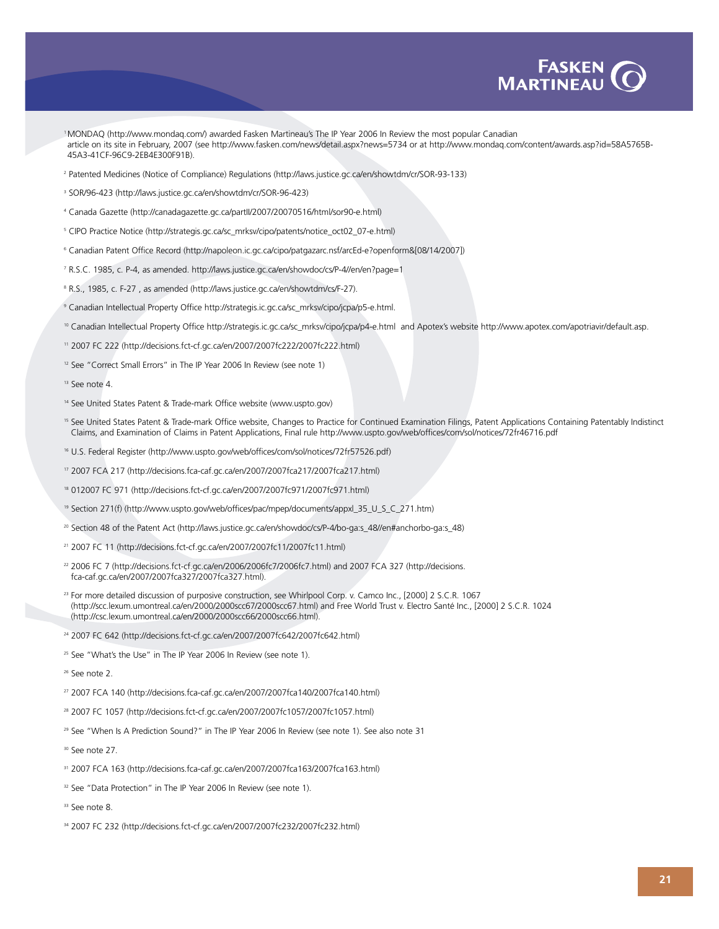

- 1 MONDAQ (http://www.mondaq.com/) awarded Fasken Martineau's The IP Year 2006 In Review the most popular Canadian article onits site in February, 2007 (see http://www.fasken.com/news/detail.aspx?news=5734 or at http://www.mondaq.com/content/awards.asp?id=58A5765B-45A3-41CF-96C9-2EB4E300F91B).
- <sup>2</sup> Patented Medicines (Notice of Compliance) Regulations (http://laws.justice.gc.ca/en/showtdm/cr/SOR-93-133)
- <sup>3</sup> SOR/96-423 (http://laws.justice.gc.ca/en/showtdm/cr/SOR-96-423)
- <sup>4</sup> Canada Gazette (http://canadagazette.gc.ca/partII/2007/20070516/html/sor90-e.html)
- <sup>5</sup> CIPO Practice Notice (http://strategis.gc.ca/sc\_mrksv/cipo/patents/notice\_oct02\_07-e.html)
- <sup>6</sup> Canadian Patent Office Record (http://napoleon.ic.gc.ca/cipo/patgazarc.nsf/arcEd-e?openform&[08/14/2007])
- <sup>7</sup> R.S.C. 1985, c. P-4, as amended. http://laws.justice.gc.ca/en/showdoc/cs/P-4//en/en?page=1
- <sup>8</sup> R.S., 1985, c. F-27, as amended (http://laws.justice.gc.ca/en/showtdm/cs/F-27).
- <sup>9</sup> Canadian Intellectual Property Office http://strategis.ic.gc.ca/sc\_mrksv/cipo/jcpa/p5-e.html.
- <sup>10</sup> Canadian Intellectual Property Office http://strategis.ic.gc.ca/sc\_mrksv/cipo/jcpa/p4-e.html and Apotex's website http://www.apotex.com/apotriavir/default.asp.
- <sup>11</sup> 2007 FC 222 (http://decisions.fct-cf.gc.ca/en/2007/2007fc222/2007fc222.html)
- <sup>12</sup> See "Correct Small Errors" in The IP Year 2006 In Review (see note 1)
- <sup>13</sup> See note 4.
- <sup>14</sup> See United States Patent & Trade-mark Office website (www.uspto.gov)
- <sup>15</sup> See United States Patent & Trade-mark Office website, Changes to Practice for Continued Examination Filings, Patent Applications Containing Patentably Indistinct Claims, and Examination of Claims in Patent Applications, Final rule http://www.uspto.gov/web/offices/com/sol/notices/72fr46716.pdf
- <sup>16</sup> U.S. Federal Register (http://www.uspto.gov/web/offices/com/sol/notices/72fr57526.pdf)
- <sup>17</sup> 2007 FCA 217 (http://decisions.fca-caf.gc.ca/en/2007/2007fca217/2007fca217.html)
- <sup>18</sup> 012007 FC 971 (http://decisions.fct-cf.gc.ca/en/2007/2007fc971/2007fc971.html)
- <sup>19</sup> Section 271(f) (http://www.uspto.gov/web/offices/pac/mpep/documents/appxl\_35\_U\_S\_C\_271.htm)
- <sup>20</sup> Section 48 of the Patent Act (http://laws.justice.gc.ca/en/showdoc/cs/P-4/bo-ga:s\_48//en#anchorbo-ga:s\_48)
- <sup>21</sup> 2007 FC 11 (http://decisions.fct-cf.gc.ca/en/2007/2007fc11/2007fc11.html)
- <sup>22</sup> 2006 FC 7 (http://decisions.fct-cf.gc.ca/en/2006/2006fc7/2006fc7.html) and 2007 FCA 327 (http://decisions. fca-caf.gc.ca/en/2007/2007fca327/2007fca327.html).
- <sup>23</sup> For more detailed discussion of purposive construction, see Whirlpool Corp. v. Camco Inc., [2000] 2 S.C.R. 1067 (http://scc.lexum.umontreal.ca/en/2000/2000scc67/2000scc67.html) and Free World Trust v. Electro Santé Inc., [2000] 2 S.C.R. 1024 (http://csc.lexum.umontreal.ca/en/2000/2000scc66/2000scc66.html).
- <sup>24</sup> 2007 FC 642 (http://decisions.fct-cf.gc.ca/en/2007/2007fc642/2007fc642.html)
- <sup>25</sup> See "What's the Use" in The IP Year 2006 In Review (see note 1).
- <sup>26</sup> See note 2.
- <sup>27</sup> 2007 FCA 140 (http://decisions.fca-caf.gc.ca/en/2007/2007fca140/2007fca140.html)
- <sup>28</sup> 2007 FC 1057 (http://decisions.fct-cf.gc.ca/en/2007/2007fc1057/2007fc1057.html)
- <sup>29</sup> See "When Is A Prediction Sound?" in The IP Year 2006 In Review (see note 1). See also note 31
- <sup>30</sup> See note 27.
- <sup>31</sup> 2007 FCA 163 (http://decisions.fca-caf.gc.ca/en/2007/2007fca163/2007fca163.html)
- <sup>32</sup> See "Data Protection" in The IP Year 2006 In Review (see note 1).
- <sup>33</sup> See note 8.
- <sup>34</sup> 2007 FC 232 (http://decisions.fct-cf.gc.ca/en/2007/2007fc232/2007fc232.html)